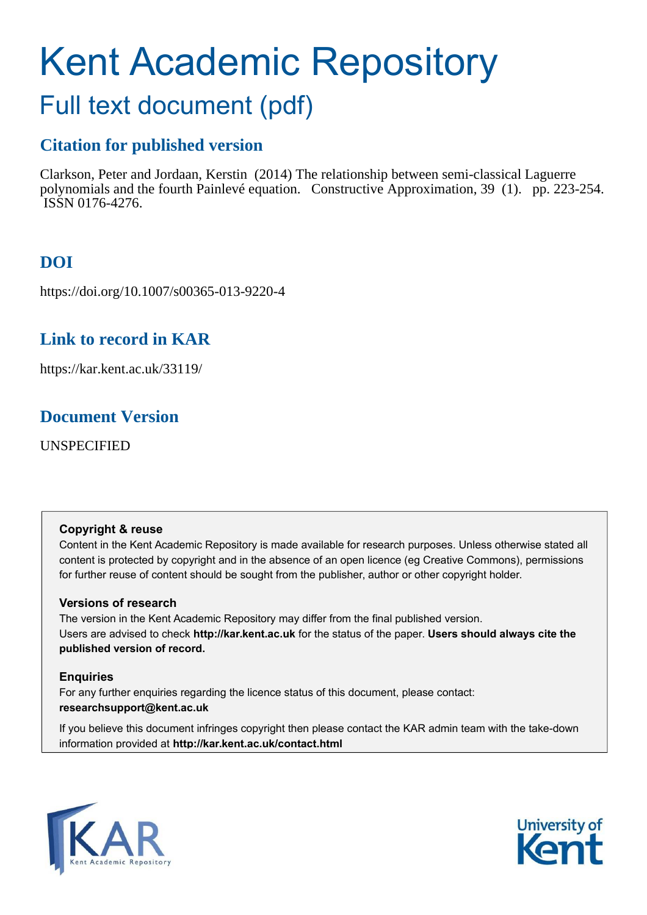# Kent Academic Repository

# Full text document (pdf)

# **Citation for published version**

Clarkson, Peter and Jordaan, Kerstin (2014) The relationship between semi-classical Laguerre polynomials and the fourth Painlevé equation. Constructive Approximation, 39 (1). pp. 223-254. ISSN 0176-4276.

# **DOI**

https://doi.org/10.1007/s00365-013-9220-4

# **Link to record in KAR**

https://kar.kent.ac.uk/33119/

# **Document Version**

UNSPECIFIED

# **Copyright & reuse**

Content in the Kent Academic Repository is made available for research purposes. Unless otherwise stated all content is protected by copyright and in the absence of an open licence (eg Creative Commons), permissions for further reuse of content should be sought from the publisher, author or other copyright holder.

# **Versions of research**

The version in the Kent Academic Repository may differ from the final published version. Users are advised to check **http://kar.kent.ac.uk** for the status of the paper. **Users should always cite the published version of record.**

# **Enquiries**

For any further enquiries regarding the licence status of this document, please contact: **researchsupport@kent.ac.uk**

If you believe this document infringes copyright then please contact the KAR admin team with the take-down information provided at **http://kar.kent.ac.uk/contact.html**



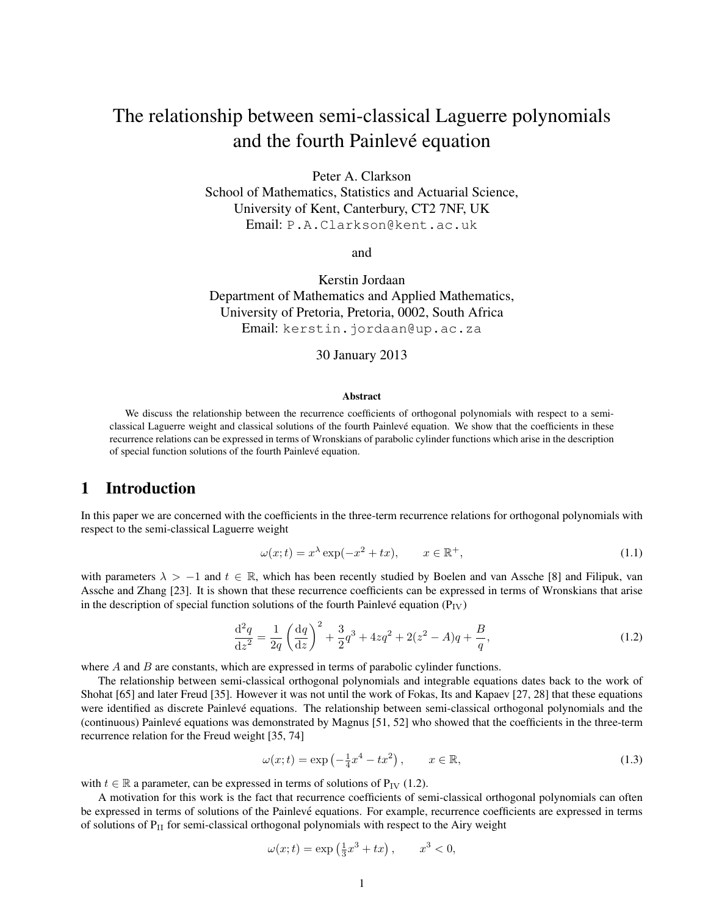# The relationship between semi-classical Laguerre polynomials and the fourth Painlevé equation

Peter A. Clarkson School of Mathematics, Statistics and Actuarial Science, University of Kent, Canterbury, CT2 7NF, UK Email: P.A.Clarkson@kent.ac.uk

and

Kerstin Jordaan Department of Mathematics and Applied Mathematics, University of Pretoria, Pretoria, 0002, South Africa Email: kerstin.jordaan@up.ac.za

#### 30 January 2013

#### Abstract

We discuss the relationship between the recurrence coefficients of orthogonal polynomials with respect to a semiclassical Laguerre weight and classical solutions of the fourth Painleve equation. We show that the coefficients in these ´ recurrence relations can be expressed in terms of Wronskians of parabolic cylinder functions which arise in the description of special function solutions of the fourth Painlevé equation.

## 1 Introduction

In this paper we are concerned with the coefficients in the three-term recurrence relations for orthogonal polynomials with respect to the semi-classical Laguerre weight

$$
\omega(x;t) = x^{\lambda} \exp(-x^2 + tx), \qquad x \in \mathbb{R}^+, \tag{1.1}
$$

with parameters  $\lambda > -1$  and  $t \in \mathbb{R}$ , which has been recently studied by Boelen and van Assche [8] and Filipuk, van Assche and Zhang [23]. It is shown that these recurrence coefficients can be expressed in terms of Wronskians that arise in the description of special function solutions of the fourth Painlevé equation ( $P_{IV}$ )

$$
\frac{\mathrm{d}^2 q}{\mathrm{d}z^2} = \frac{1}{2q} \left( \frac{\mathrm{d}q}{\mathrm{d}z} \right)^2 + \frac{3}{2} q^3 + 4zq^2 + 2(z^2 - A)q + \frac{B}{q},\tag{1.2}
$$

where  $A$  and  $B$  are constants, which are expressed in terms of parabolic cylinder functions.

The relationship between semi-classical orthogonal polynomials and integrable equations dates back to the work of Shohat [65] and later Freud [35]. However it was not until the work of Fokas, Its and Kapaev [27, 28] that these equations were identified as discrete Painlevé equations. The relationship between semi-classical orthogonal polynomials and the (continuous) Painlevé equations was demonstrated by Magnus [51, 52] who showed that the coefficients in the three-term recurrence relation for the Freud weight [35, 74]

$$
\omega(x;t) = \exp\left(-\frac{1}{4}x^4 - tx^2\right), \qquad x \in \mathbb{R},\tag{1.3}
$$

with  $t \in \mathbb{R}$  a parameter, can be expressed in terms of solutions of P<sub>IV</sub> (1.2).

A motivation for this work is the fact that recurrence coefficients of semi-classical orthogonal polynomials can often be expressed in terms of solutions of the Painlevé equations. For example, recurrence coefficients are expressed in terms of solutions of P<sub>II</sub> for semi-classical orthogonal polynomials with respect to the Airy weight

$$
\omega(x;t) = \exp\left(\frac{1}{3}x^3 + tx\right), \qquad x^3 < 0,
$$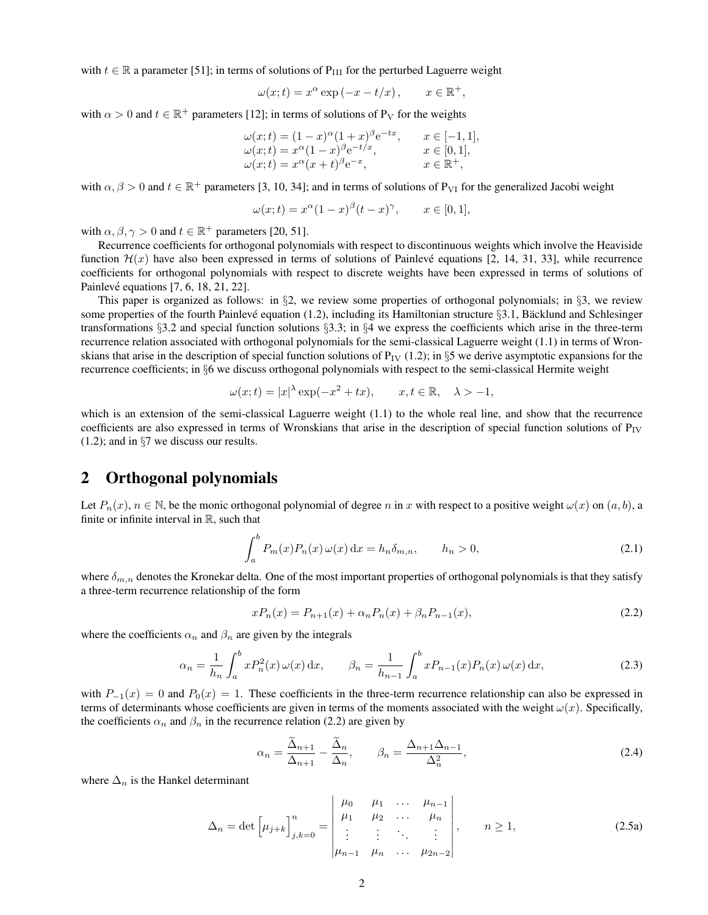with  $t \in \mathbb{R}$  a parameter [51]; in terms of solutions of P<sub>III</sub> for the perturbed Laguerre weight

$$
\omega(x;t) = x^{\alpha} \exp(-x - t/x), \qquad x \in \mathbb{R}^+,
$$

with  $\alpha > 0$  and  $t \in \mathbb{R}^+$  parameters [12]; in terms of solutions of P<sub>V</sub> for the weights

$$
\begin{array}{ll}\n\omega(x;t) = (1-x)^{\alpha}(1+x)^{\beta}e^{-tx}, & x \in [-1,1], \\
\omega(x;t) = x^{\alpha}(1-x)^{\beta}e^{-t/x}, & x \in [0,1], \\
\omega(x;t) = x^{\alpha}(x+t)^{\beta}e^{-x}, & x \in \mathbb{R}^+, \n\end{array}
$$

with  $\alpha, \beta > 0$  and  $t \in \mathbb{R}^+$  parameters [3, 10, 34]; and in terms of solutions of P<sub>VI</sub> for the generalized Jacobi weight

$$
\omega(x;t) = x^{\alpha}(1-x)^{\beta}(t-x)^{\gamma}, \quad x \in [0,1],
$$

with  $\alpha, \beta, \gamma > 0$  and  $t \in \mathbb{R}^+$  parameters [20, 51].

Recurrence coefficients for orthogonal polynomials with respect to discontinuous weights which involve the Heaviside function  $\mathcal{H}(x)$  have also been expressed in terms of solutions of Painlevé equations [2, 14, 31, 33], while recurrence coefficients for orthogonal polynomials with respect to discrete weights have been expressed in terms of solutions of Painlevé equations  $[7, 6, 18, 21, 22]$ .

This paper is organized as follows: in  $\S2$ , we review some properties of orthogonal polynomials; in  $\S3$ , we review some properties of the fourth Painlevé equation (1.2), including its Hamiltonian structure  $\S$ 3.1, Bäcklund and Schlesinger transformations §3.2 and special function solutions §3.3; in §4 we express the coefficients which arise in the three-term recurrence relation associated with orthogonal polynomials for the semi-classical Laguerre weight (1.1) in terms of Wronskians that arise in the description of special function solutions of  $P_{IV}$  (1.2); in §5 we derive asymptotic expansions for the recurrence coefficients; in §6 we discuss orthogonal polynomials with respect to the semi-classical Hermite weight

$$
\omega(x;t) = |x|^\lambda \exp(-x^2 + tx), \qquad x, t \in \mathbb{R}, \quad \lambda > -1,
$$

which is an extension of the semi-classical Laguerre weight (1.1) to the whole real line, and show that the recurrence coefficients are also expressed in terms of Wronskians that arise in the description of special function solutions of  $P_{IV}$ (1.2); and in §7 we discuss our results.

## 2 Orthogonal polynomials

Let  $P_n(x)$ ,  $n \in \mathbb{N}$ , be the monic orthogonal polynomial of degree n in x with respect to a positive weight  $\omega(x)$  on  $(a, b)$ , a finite or infinite interval in  $\mathbb{R}$ , such that

$$
\int_{a}^{b} P_m(x) P_n(x) \omega(x) dx = h_n \delta_{m,n}, \qquad h_n > 0,
$$
\n(2.1)

where  $\delta_{m,n}$  denotes the Kronekar delta. One of the most important properties of orthogonal polynomials is that they satisfy a three-term recurrence relationship of the form

$$
xP_n(x) = P_{n+1}(x) + \alpha_n P_n(x) + \beta_n P_{n-1}(x),
$$
\n(2.2)

where the coefficients  $\alpha_n$  and  $\beta_n$  are given by the integrals

$$
\alpha_n = \frac{1}{h_n} \int_a^b x P_n^2(x) \,\omega(x) \,\mathrm{d}x, \qquad \beta_n = \frac{1}{h_{n-1}} \int_a^b x P_{n-1}(x) P_n(x) \,\omega(x) \,\mathrm{d}x,\tag{2.3}
$$

with  $P_{-1}(x) = 0$  and  $P_0(x) = 1$ . These coefficients in the three-term recurrence relationship can also be expressed in terms of determinants whose coefficients are given in terms of the moments associated with the weight  $\omega(x)$ . Specifically, the coefficients  $\alpha_n$  and  $\beta_n$  in the recurrence relation (2.2) are given by

$$
\alpha_n = \frac{\tilde{\Delta}_{n+1}}{\Delta_{n+1}} - \frac{\tilde{\Delta}_n}{\Delta_n}, \qquad \beta_n = \frac{\Delta_{n+1}\Delta_{n-1}}{\Delta_n^2},
$$
\n(2.4)

where  $\Delta_n$  is the Hankel determinant

$$
\Delta_n = \det \left[ \mu_{j+k} \right]_{j,k=0}^n = \begin{vmatrix} \mu_0 & \mu_1 & \dots & \mu_{n-1} \\ \mu_1 & \mu_2 & \dots & \mu_n \\ \vdots & \vdots & \ddots & \vdots \\ \mu_{n-1} & \mu_n & \dots & \mu_{2n-2} \end{vmatrix}, \quad n \ge 1,
$$
 (2.5a)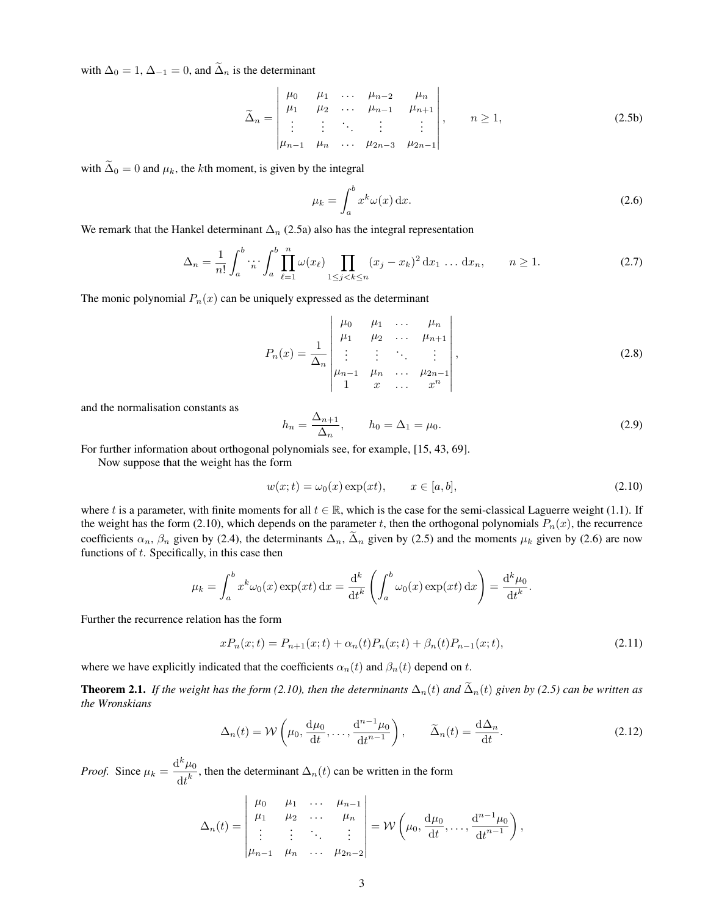with  $\Delta_0 = 1$ ,  $\Delta_{-1} = 0$ , and  $\tilde{\Delta}_n$  is the determinant

$$
\widetilde{\Delta}_n = \begin{vmatrix} \mu_0 & \mu_1 & \dots & \mu_{n-2} & \mu_n \\ \mu_1 & \mu_2 & \dots & \mu_{n-1} & \mu_{n+1} \\ \vdots & \vdots & \ddots & \vdots & \vdots \\ \mu_{n-1} & \mu_n & \dots & \mu_{2n-3} & \mu_{2n-1} \end{vmatrix}, \quad n \ge 1,
$$
\n(2.5b)

with  $\tilde{\Delta}_0 = 0$  and  $\mu_k$ , the kth moment, is given by the integral

$$
\mu_k = \int_a^b x^k \omega(x) \, \mathrm{d}x. \tag{2.6}
$$

We remark that the Hankel determinant  $\Delta_n$  (2.5a) also has the integral representation

$$
\Delta_n = \frac{1}{n!} \int_a^b \cdot \dot{n} \cdot \int_a^b \prod_{\ell=1}^n \omega(x_\ell) \prod_{1 \le j < k \le n} (x_j - x_k)^2 \, \mathrm{d}x_1 \dots \, \mathrm{d}x_n, \qquad n \ge 1. \tag{2.7}
$$

The monic polynomial  $P_n(x)$  can be uniquely expressed as the determinant

$$
P_n(x) = \frac{1}{\Delta_n} \begin{vmatrix} \mu_0 & \mu_1 & \dots & \mu_n \\ \mu_1 & \mu_2 & \dots & \mu_{n+1} \\ \vdots & \vdots & \ddots & \vdots \\ \mu_{n-1} & \mu_n & \dots & \mu_{2n-1} \\ 1 & x & \dots & x^n \end{vmatrix},
$$
 (2.8)

and the normalisation constants as

$$
h_n = \frac{\Delta_{n+1}}{\Delta_n}, \qquad h_0 = \Delta_1 = \mu_0.
$$
\n(2.9)

For further information about orthogonal polynomials see, for example, [15, 43, 69].

Now suppose that the weight has the form

$$
w(x;t) = \omega_0(x) \exp(xt), \qquad x \in [a, b], \tag{2.10}
$$

where t is a parameter, with finite moments for all  $t \in \mathbb{R}$ , which is the case for the semi-classical Laguerre weight (1.1). If the weight has the form (2.10), which depends on the parameter t, then the orthogonal polynomials  $P_n(x)$ , the recurrence coefficients  $\alpha_n$ ,  $\beta_n$  given by (2.4), the determinants  $\Delta_n$ ,  $\tilde{\Delta}_n$  given by (2.5) and the moments  $\mu_k$  given by (2.6) are now functions of  $t$ . Specifically, in this case then

$$
\mu_k = \int_a^b x^k \omega_0(x) \exp(xt) dx = \frac{d^k}{dt^k} \left( \int_a^b \omega_0(x) \exp(xt) dx \right) = \frac{d^k \mu_0}{dt^k}.
$$

Further the recurrence relation has the form

$$
xP_n(x;t) = P_{n+1}(x;t) + \alpha_n(t)P_n(x;t) + \beta_n(t)P_{n-1}(x;t),
$$
\n(2.11)

where we have explicitly indicated that the coefficients  $\alpha_n(t)$  and  $\beta_n(t)$  depend on t.

**Theorem 2.1.** *If the weight has the form (2.10), then the determinants*  $\Delta_n(t)$  *and*  $\tilde{\Delta}_n(t)$  *given by (2.5) can be written as the Wronskians*

$$
\Delta_n(t) = \mathcal{W}\left(\mu_0, \frac{\mathrm{d}\mu_0}{\mathrm{d}t}, \dots, \frac{\mathrm{d}^{n-1}\mu_0}{\mathrm{d}t^{n-1}}\right), \qquad \widetilde{\Delta}_n(t) = \frac{\mathrm{d}\Delta_n}{\mathrm{d}t}.
$$
\n(2.12)

*Proof.* Since  $\mu_k = \frac{d^k \mu_0}{dk^k}$  $\frac{d\mathcal{L}^{k}}{dt^{k}}$ , then the determinant  $\Delta_{n}(t)$  can be written in the form

$$
\Delta_n(t) = \begin{vmatrix} \mu_0 & \mu_1 & \dots & \mu_{n-1} \\ \mu_1 & \mu_2 & \dots & \mu_n \\ \vdots & \vdots & \ddots & \vdots \\ \mu_{n-1} & \mu_n & \dots & \mu_{2n-2} \end{vmatrix} = \mathcal{W}\left(\mu_0, \frac{d\mu_0}{dt}, \dots, \frac{d^{n-1}\mu_0}{dt^{n-1}}\right),
$$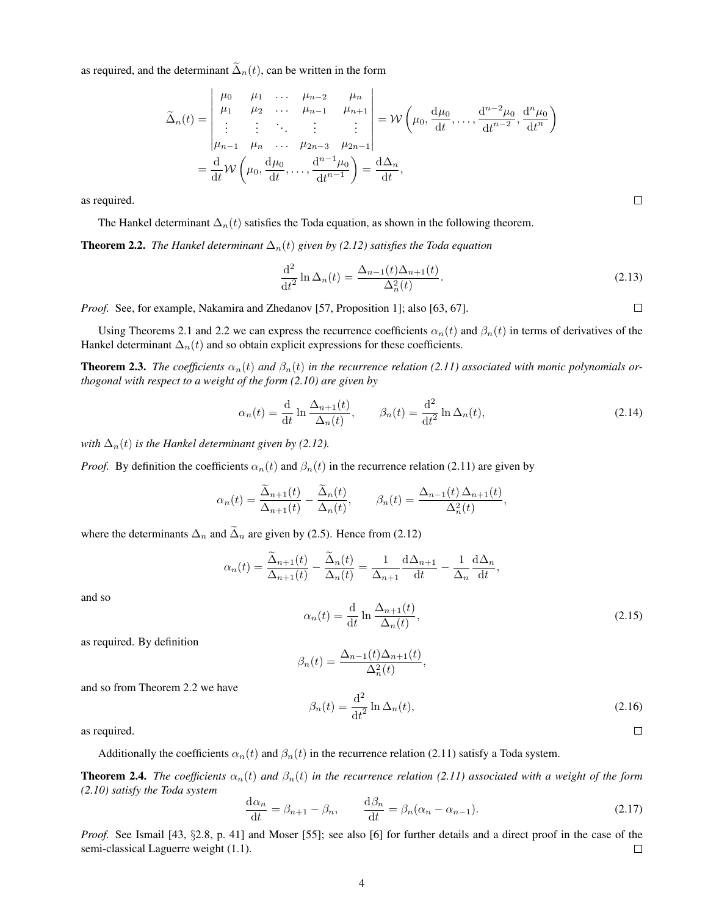as required, and the determinant  $\tilde{\Delta}_n(t)$ , can be written in the form

$$
\tilde{\Delta}_n(t) = \begin{vmatrix}\n\mu_0 & \mu_1 & \dots & \mu_{n-2} & \mu_n \\
\mu_1 & \mu_2 & \dots & \mu_{n-1} & \mu_{n+1} \\
\vdots & \vdots & \ddots & \vdots & \vdots \\
\mu_{n-1} & \mu_n & \dots & \mu_{2n-3} & \mu_{2n-1}\n\end{vmatrix} = \mathcal{W}\left(\mu_0, \frac{d\mu_0}{dt}, \dots, \frac{d^{n-2}\mu_0}{dt^{n-2}}, \frac{d^n\mu_0}{dt^n}\right)
$$
\n
$$
= \frac{d}{dt} \mathcal{W}\left(\mu_0, \frac{d\mu_0}{dt}, \dots, \frac{d^{n-1}\mu_0}{dt^{n-1}}\right) = \frac{d\Delta_n}{dt},
$$

as required.

The Hankel determinant  $\Delta_n(t)$  satisfies the Toda equation, as shown in the following theorem.

**Theorem 2.2.** *The Hankel determinant*  $\Delta_n(t)$  *given by (2.12) satisfies the Toda equation* 

$$
\frac{\mathrm{d}^2}{\mathrm{d}t^2} \ln \Delta_n(t) = \frac{\Delta_{n-1}(t)\Delta_{n+1}(t)}{\Delta_n^2(t)}.
$$
\n(2.13)

*Proof.* See, for example, Nakamira and Zhedanov [57, Proposition 1]; also [63, 67].

Using Theorems 2.1 and 2.2 we can express the recurrence coefficients  $\alpha_n(t)$  and  $\beta_n(t)$  in terms of derivatives of the Hankel determinant  $\Delta_n(t)$  and so obtain explicit expressions for these coefficients.

**Theorem 2.3.** *The coefficients*  $\alpha_n(t)$  *and*  $\beta_n(t)$  *in the recurrence relation* (2.11) associated with monic polynomials or*thogonal with respect to a weight of the form (2.10) are given by*

$$
\alpha_n(t) = \frac{\mathrm{d}}{\mathrm{d}t} \ln \frac{\Delta_{n+1}(t)}{\Delta_n(t)}, \qquad \beta_n(t) = \frac{\mathrm{d}^2}{\mathrm{d}t^2} \ln \Delta_n(t), \tag{2.14}
$$

*with*  $\Delta_n(t)$  *is the Hankel determinant given by (2.12).* 

*Proof.* By definition the coefficients  $\alpha_n(t)$  and  $\beta_n(t)$  in the recurrence relation (2.11) are given by

$$
\alpha_n(t) = \frac{\tilde{\Delta}_{n+1}(t)}{\Delta_{n+1}(t)} - \frac{\tilde{\Delta}_n(t)}{\Delta_n(t)}, \qquad \beta_n(t) = \frac{\Delta_{n-1}(t)\Delta_{n+1}(t)}{\Delta_n^2(t)},
$$

where the determinants  $\Delta_n$  and  $\widetilde{\Delta}_n$  are given by (2.5). Hence from (2.12)

$$
\alpha_n(t) = \frac{\tilde{\Delta}_{n+1}(t)}{\Delta_{n+1}(t)} - \frac{\tilde{\Delta}_n(t)}{\Delta_n(t)} = \frac{1}{\Delta_{n+1}} \frac{d\Delta_{n+1}}{dt} - \frac{1}{\Delta_n} \frac{d\Delta_n}{dt},
$$

and so

 $\alpha_n(t) = \frac{\mathrm{d}}{\mathrm{d}t} \ln \frac{\Delta_{n+1}(t)}{\Delta_n(t)}$  $(2.15)$ 

as required. By definition

$$
\beta_n(t) = \frac{\Delta_{n-1}(t)\Delta_{n+1}(t)}{\Delta_n^2(t)},
$$

and so from Theorem 2.2 we have

$$
\beta_n(t) = \frac{\mathrm{d}^2}{\mathrm{d}t^2} \ln \Delta_n(t),\tag{2.16}
$$

as required.

Additionally the coefficients  $\alpha_n(t)$  and  $\beta_n(t)$  in the recurrence relation (2.11) satisfy a Toda system.

**Theorem 2.4.** *The coefficients*  $\alpha_n(t)$  *and*  $\beta_n(t)$  *in the recurrence relation* (2.11) associated with a weight of the form *(2.10) satisfy the Toda system*

$$
\frac{d\alpha_n}{dt} = \beta_{n+1} - \beta_n, \qquad \frac{d\beta_n}{dt} = \beta_n(\alpha_n - \alpha_{n-1}).
$$
\n(2.17)

*Proof.* See Ismail [43, §2.8, p. 41] and Moser [55]; see also [6] for further details and a direct proof in the case of the semi-classical Laguerre weight (1.1). semi-classical Laguerre weight (1.1).

 $\Box$ 

 $\Box$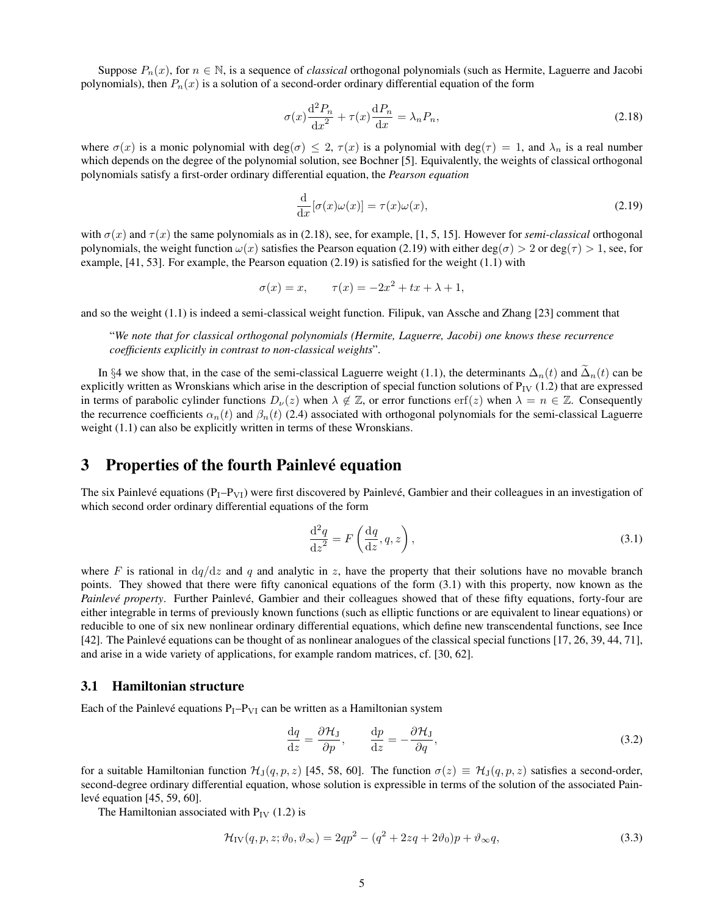Suppose  $P_n(x)$ , for  $n \in \mathbb{N}$ , is a sequence of *classical* orthogonal polynomials (such as Hermite, Laguerre and Jacobi polynomials), then  $P_n(x)$  is a solution of a second-order ordinary differential equation of the form

$$
\sigma(x)\frac{\mathrm{d}^2 P_n}{\mathrm{d}x^2} + \tau(x)\frac{\mathrm{d}P_n}{\mathrm{d}x} = \lambda_n P_n,\tag{2.18}
$$

where  $\sigma(x)$  is a monic polynomial with deg( $\sigma$ )  $\leq$  2,  $\tau(x)$  is a polynomial with deg( $\tau$ ) = 1, and  $\lambda_n$  is a real number which depends on the degree of the polynomial solution, see Bochner [5]. Equivalently, the weights of classical orthogonal polynomials satisfy a first-order ordinary differential equation, the *Pearson equation*

$$
\frac{\mathrm{d}}{\mathrm{d}x}[\sigma(x)\omega(x)] = \tau(x)\omega(x),\tag{2.19}
$$

with  $\sigma(x)$  and  $\tau(x)$  the same polynomials as in (2.18), see, for example, [1, 5, 15]. However for *semi-classical* orthogonal polynomials, the weight function  $\omega(x)$  satisfies the Pearson equation (2.19) with either deg( $\sigma$ ) > 2 or deg( $\tau$ ) > 1, see, for example,  $[41, 53]$ . For example, the Pearson equation  $(2.19)$  is satisfied for the weight  $(1.1)$  with

$$
\sigma(x) = x, \qquad \tau(x) = -2x^2 + tx + \lambda + 1,
$$

and so the weight (1.1) is indeed a semi-classical weight function. Filipuk, van Assche and Zhang [23] comment that

"*We note that for classical orthogonal polynomials (Hermite, Laguerre, Jacobi) one knows these recurrence coefficients explicitly in contrast to non-classical weights*".

In §4 we show that, in the case of the semi-classical Laguerre weight (1.1), the determinants  $\Delta_n(t)$  and  $\Delta_n(t)$  can be explicitly written as Wronskians which arise in the description of special function solutions of  $P_{IV}$  (1.2) that are expressed in terms of parabolic cylinder functions  $D_{\nu}(z)$  when  $\lambda \notin \mathbb{Z}$ , or error functions erf(z) when  $\lambda = n \in \mathbb{Z}$ . Consequently the recurrence coefficients  $\alpha_n(t)$  and  $\beta_n(t)$  (2.4) associated with orthogonal polynomials for the semi-classical Laguerre weight (1.1) can also be explicitly written in terms of these Wronskians.

### 3 Properties of the fourth Painlevé equation

The six Painlevé equations  $(P_1 - P_{VI})$  were first discovered by Painlevé, Gambier and their colleagues in an investigation of which second order ordinary differential equations of the form

$$
\frac{\mathrm{d}^2 q}{\mathrm{d}z^2} = F\left(\frac{\mathrm{d}q}{\mathrm{d}z}, q, z\right),\tag{3.1}
$$

where F is rational in  $dq/dz$  and q and analytic in z, have the property that their solutions have no movable branch points. They showed that there were fifty canonical equations of the form (3.1) with this property, now known as the *Painlevé property*. Further Painlevé, Gambier and their colleagues showed that of these fifty equations, forty-four are either integrable in terms of previously known functions (such as elliptic functions or are equivalent to linear equations) or reducible to one of six new nonlinear ordinary differential equations, which define new transcendental functions, see Ince [42]. The Painlevé equations can be thought of as nonlinear analogues of the classical special functions  $[17, 26, 39, 44, 71]$ , and arise in a wide variety of applications, for example random matrices, cf. [30, 62].

#### 3.1 Hamiltonian structure

Each of the Painlevé equations  $P_I - P_{VI}$  can be written as a Hamiltonian system

$$
\frac{\mathrm{d}q}{\mathrm{d}z} = \frac{\partial \mathcal{H}_{\mathrm{J}}}{\partial p}, \qquad \frac{\mathrm{d}p}{\mathrm{d}z} = -\frac{\partial \mathcal{H}_{\mathrm{J}}}{\partial q},\tag{3.2}
$$

for a suitable Hamiltonian function  $\mathcal{H}_{J}(q, p, z)$  [45, 58, 60]. The function  $\sigma(z) \equiv \mathcal{H}_{J}(q, p, z)$  satisfies a second-order, second-degree ordinary differential equation, whose solution is expressible in terms of the solution of the associated Painlevé equation  $[45, 59, 60]$ .

The Hamiltonian associated with  $P_{IV}$  (1.2) is

$$
\mathcal{H}_{\text{IV}}(q, p, z; \vartheta_0, \vartheta_\infty) = 2qp^2 - (q^2 + 2zq + 2\vartheta_0)p + \vartheta_\infty q,\tag{3.3}
$$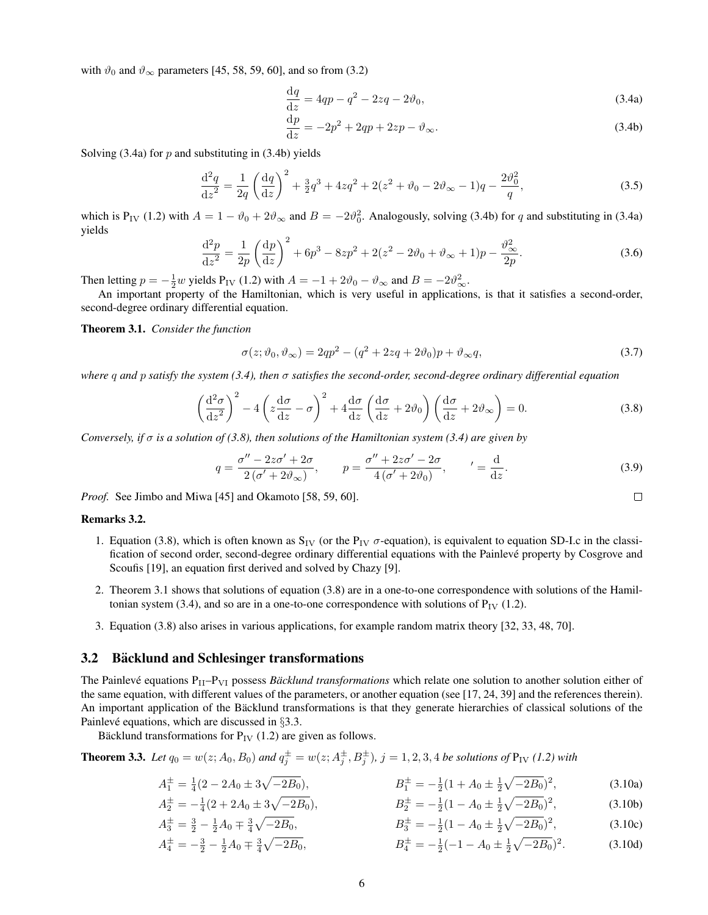with  $\vartheta_0$  and  $\vartheta_{\infty}$  parameters [45, 58, 59, 60], and so from (3.2)

$$
\frac{\mathrm{d}q}{\mathrm{d}z} = 4qp - q^2 - 2zq - 2\vartheta_0,\tag{3.4a}
$$

$$
\frac{\mathrm{d}p}{\mathrm{d}z} = -2p^2 + 2qp + 2zp - \vartheta_{\infty}.\tag{3.4b}
$$

Solving  $(3.4a)$  for p and substituting in  $(3.4b)$  yields

$$
\frac{\mathrm{d}^2 q}{\mathrm{d}z^2} = \frac{1}{2q} \left( \frac{\mathrm{d}q}{\mathrm{d}z} \right)^2 + \frac{3}{2}q^3 + 4zq^2 + 2(z^2 + \vartheta_0 - 2\vartheta_\infty - 1)q - \frac{2\vartheta_0^2}{q},\tag{3.5}
$$

which is P<sub>IV</sub> (1.2) with  $A = 1 - \vartheta_0 + 2\vartheta_\infty$  and  $B = -2\vartheta_0^2$ . Analogously, solving (3.4b) for q and substituting in (3.4a) yields

$$
\frac{d^2p}{dz^2} = \frac{1}{2p} \left(\frac{dp}{dz}\right)^2 + 6p^3 - 8zp^2 + 2(z^2 - 2\vartheta_0 + \vartheta_\infty + 1)p - \frac{\vartheta_\infty^2}{2p}.
$$
\n(3.6)

Then letting  $p = -\frac{1}{2}w$  yields  $P_{IV}$  (1.2) with  $A = -1 + 2\vartheta_0 - \vartheta_{\infty}$  and  $B = -2\vartheta_{\infty}^2$ .

An important property of the Hamiltonian, which is very useful in applications, is that it satisfies a second-order, second-degree ordinary differential equation.

Theorem 3.1. *Consider the function*

$$
\sigma(z; \vartheta_0, \vartheta_{\infty}) = 2qp^2 - (q^2 + 2zq + 2\vartheta_0)p + \vartheta_{\infty}q,
$$
\n(3.7)

*where* q *and* p *satisfy the system (3.4), then* σ *satisfies the second-order, second-degree ordinary differential equation*

$$
\left(\frac{\mathrm{d}^2\sigma}{\mathrm{d}z^2}\right)^2 - 4\left(z\frac{\mathrm{d}\sigma}{\mathrm{d}z} - \sigma\right)^2 + 4\frac{\mathrm{d}\sigma}{\mathrm{d}z}\left(\frac{\mathrm{d}\sigma}{\mathrm{d}z} + 2\vartheta_0\right)\left(\frac{\mathrm{d}\sigma}{\mathrm{d}z} + 2\vartheta_\infty\right) = 0.\tag{3.8}
$$

*Conversely, if* σ *is a solution of (3.8), then solutions of the Hamiltonian system (3.4) are given by*

$$
q = \frac{\sigma'' - 2z\sigma' + 2\sigma}{2(\sigma' + 2\vartheta_{\infty})}, \qquad p = \frac{\sigma'' + 2z\sigma' - 2\sigma}{4(\sigma' + 2\vartheta_0)}, \qquad' = \frac{\mathrm{d}}{\mathrm{d}z}.
$$
 (3.9)

 $\Box$ 

*Proof.* See Jimbo and Miwa [45] and Okamoto [58, 59, 60].

#### Remarks 3.2.

- 1. Equation (3.8), which is often known as  $S_{IV}$  (or the  $P_{IV}$   $\sigma$ -equation), is equivalent to equation SD-I.c in the classification of second order, second-degree ordinary differential equations with the Painleve property by Cosgrove and ´ Scoufis [19], an equation first derived and solved by Chazy [9].
- 2. Theorem 3.1 shows that solutions of equation (3.8) are in a one-to-one correspondence with solutions of the Hamiltonian system (3.4), and so are in a one-to-one correspondence with solutions of  $P_{IV}$  (1.2).
- 3. Equation (3.8) also arises in various applications, for example random matrix theory [32, 33, 48, 70].

#### 3.2 Bäcklund and Schlesinger transformations

The Painlevé equations P<sub>II</sub>–P<sub>VI</sub> possess *Bäcklund transformations* which relate one solution to another solution either of the same equation, with different values of the parameters, or another equation (see [17, 24, 39] and the references therein). An important application of the Bäcklund transformations is that they generate hierarchies of classical solutions of the Painlevé equations, which are discussed in  $\S 3.3$ .

Bäcklund transformations for  $P_{IV}$  (1.2) are given as follows.

**Theorem 3.3.** Let  $q_0 = w(z; A_0, B_0)$  and  $q_j^{\pm} = w(z; A_j^{\pm}, B_j^{\pm})$ ,  $j = 1, 2, 3, 4$  be solutions of  $P_{IV}$  (1.2) with

$$
A_1^{\pm} = \frac{1}{4}(2 - 2A_0 \pm 3\sqrt{-2B_0}), \qquad B_1^{\pm} = -\frac{1}{2}(1 + A_0 \pm \frac{1}{2}\sqrt{-2B_0})^2, \qquad (3.10a)
$$

$$
A_2^{\pm} = -\frac{1}{4}(2 + 2A_0 \pm 3\sqrt{-2B_0}), \qquad B_2^{\pm} = -\frac{1}{2}(1 - A_0 \pm \frac{1}{2}\sqrt{-2B_0})^2, \qquad (3.10b)
$$

$$
A_3^{\pm} = \frac{3}{2} - \frac{1}{2}A_0 \mp \frac{3}{4}\sqrt{-2B_0}, \qquad B_3^{\pm} = -\frac{1}{2}(1 - A_0 \pm \frac{1}{2}\sqrt{-2B_0})^2, \tag{3.10c}
$$

$$
A_4^{\pm} = -\frac{3}{2} - \frac{1}{2}A_0 \mp \frac{3}{4}\sqrt{-2B_0}, \qquad B_4^{\pm} = -\frac{1}{2}(-1 - A_0 \pm \frac{1}{2}\sqrt{-2B_0})^2. \tag{3.10d}
$$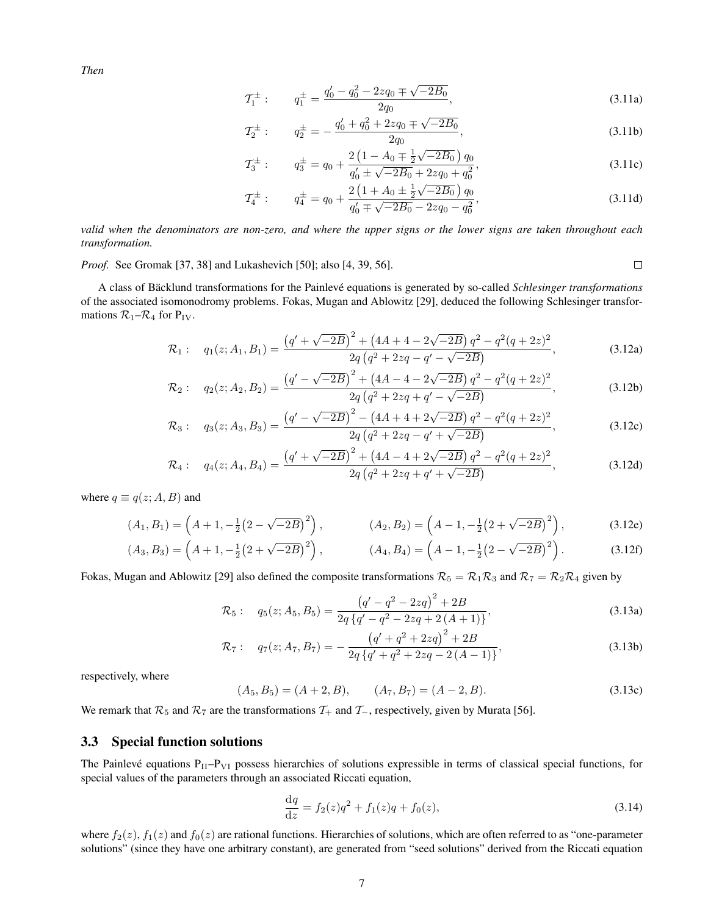*Then*

$$
\mathcal{T}_1^{\pm} : \qquad q_1^{\pm} = \frac{q_0' - q_0^2 - 2zq_0 \mp \sqrt{-2B_0}}{2q_0},\tag{3.11a}
$$

$$
\mathcal{T}_2^{\pm} : \qquad q_2^{\pm} = -\frac{q_0' + q_0^2 + 2zq_0 \mp \sqrt{-2B_0}}{2q_0},\tag{3.11b}
$$

$$
\mathcal{T}_3^{\pm} : \qquad q_3^{\pm} = q_0 + \frac{2\left(1 - A_0 \mp \frac{1}{2}\sqrt{-2B_0}\right)q_0}{q'_0 \pm \sqrt{-2B_0 + 2zq_0 + q_0^2}},\tag{3.11c}
$$

$$
\mathcal{T}_4^{\pm} : \qquad q_4^{\pm} = q_0 + \frac{2\left(1 + A_0 \pm \frac{1}{2}\sqrt{-2B_0}\right)q_0}{q'_0 \mp \sqrt{-2B_0} - 2zq_0 - q_0^2},\tag{3.11d}
$$

 $\Box$ 

*valid when the denominators are non-zero, and where the upper signs or the lower signs are taken throughout each transformation.*

*Proof.* See Gromak [37, 38] and Lukashevich [50]; also [4, 39, 56].

A class of Bäcklund transformations for the Painlevé equations is generated by so-called *Schlesinger transformations* of the associated isomonodromy problems. Fokas, Mugan and Ablowitz [29], deduced the following Schlesinger transformations  $\mathcal{R}_1-\mathcal{R}_4$  for  $P_{IV}$ .

$$
\mathcal{R}_1: \quad q_1(z; A_1, B_1) = \frac{\left(q' + \sqrt{-2B}\right)^2 + \left(4A + 4 - 2\sqrt{-2B}\right)q^2 - q^2(q + 2z)^2}{2q\left(q^2 + 2zq - q' - \sqrt{-2B}\right)},\tag{3.12a}
$$

$$
\mathcal{R}_2: \quad q_2(z; A_2, B_2) = \frac{\left(q' - \sqrt{-2B}\right)^2 + \left(4A - 4 - 2\sqrt{-2B}\right)q^2 - q^2(q + 2z)^2}{2q\left(q^2 + 2zq + q' - \sqrt{-2B}\right)},\tag{3.12b}
$$

$$
\mathcal{R}_3: \quad q_3(z; A_3, B_3) = \frac{\left(q' - \sqrt{-2B}\right)^2 - \left(4A + 4 + 2\sqrt{-2B}\right)q^2 - q^2(q + 2z)^2}{2q\left(q^2 + 2zq - q' + \sqrt{-2B}\right)},\tag{3.12c}
$$

$$
\mathcal{R}_4: \quad q_4(z; A_4, B_4) = \frac{\left(q' + \sqrt{-2B}\right)^2 + \left(4A - 4 + 2\sqrt{-2B}\right)q^2 - q^2(q + 2z)^2}{2q\left(q^2 + 2zq + q' + \sqrt{-2B}\right)},\tag{3.12d}
$$

where  $q \equiv q(z; A, B)$  and

$$
(A_1, B_1) = \left(A + 1, -\frac{1}{2}(2 - \sqrt{-2B})^2\right), \qquad (A_2, B_2) = \left(A - 1, -\frac{1}{2}(2 + \sqrt{-2B})^2\right), \qquad (3.12e)
$$

$$
(A_3, B_3) = \left(A + 1, -\frac{1}{2}(2 + \sqrt{-2B})^2\right), \qquad (A_4, B_4) = \left(A - 1, -\frac{1}{2}(2 - \sqrt{-2B})^2\right). \qquad (3.12f)
$$

Fokas, Mugan and Ablowitz [29] also defined the composite transformations  $\mathcal{R}_5 = \mathcal{R}_1 \mathcal{R}_3$  and  $\mathcal{R}_7 = \mathcal{R}_2 \mathcal{R}_4$  given by

$$
\mathcal{R}_5: \quad q_5(z; A_5, B_5) = \frac{\left(q' - q^2 - 2zq\right)^2 + 2B}{2q\left\{q' - q^2 - 2zq + 2\left(A + 1\right)\right\}},\tag{3.13a}
$$

$$
\mathcal{R}_7: \quad q_7(z; A_7, B_7) = -\frac{\left(q' + q^2 + 2zq\right)^2 + 2B}{2q\left\{q' + q^2 + 2zq - 2\left(A - 1\right)\right\}},\tag{3.13b}
$$

respectively, where

$$
(A_5, B_5) = (A + 2, B), \qquad (A_7, B_7) = (A - 2, B). \tag{3.13c}
$$

We remark that  $\mathcal{R}_5$  and  $\mathcal{R}_7$  are the transformations  $\mathcal{T}_+$  and  $\mathcal{T}_-$ , respectively, given by Murata [56].

#### 3.3 Special function solutions

The Painlevé equations  $P_{II}-P_{VI}$  possess hierarchies of solutions expressible in terms of classical special functions, for special values of the parameters through an associated Riccati equation,

$$
\frac{\mathrm{d}q}{\mathrm{d}z} = f_2(z)q^2 + f_1(z)q + f_0(z),\tag{3.14}
$$

where  $f_2(z)$ ,  $f_1(z)$  and  $f_0(z)$  are rational functions. Hierarchies of solutions, which are often referred to as "one-parameter" solutions" (since they have one arbitrary constant), are generated from "seed solutions" derived from the Riccati equation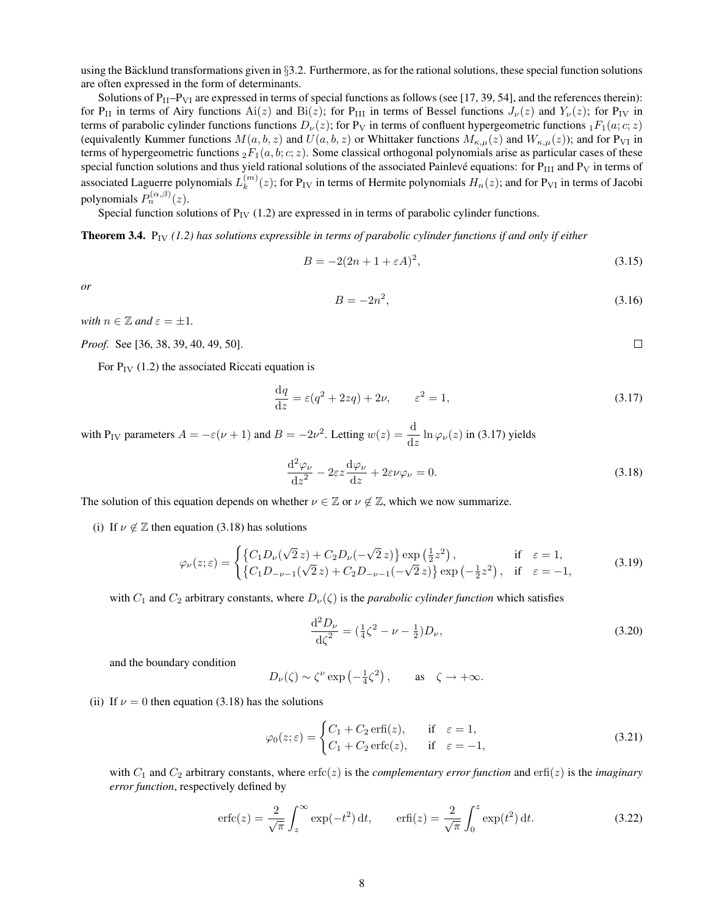using the Bäcklund transformations given in  $\S$ 3.2. Furthermore, as for the rational solutions, these special function solutions are often expressed in the form of determinants.

Solutions of  $P_{II}-P_{VI}$  are expressed in terms of special functions as follows (see [17, 39, 54], and the references therein): for P<sub>II</sub> in terms of Airy functions Ai(z) and Bi(z); for P<sub>III</sub> in terms of Bessel functions  $J_{\nu}(z)$  and  $Y_{\nu}(z)$ ; for P<sub>IV</sub> in terms of parabolic cylinder functions functions  $D_{\nu}(z)$ ; for P<sub>V</sub> in terms of confluent hypergeometric functions  ${}_{1}F_{1}(a;c; z)$ (equivalently Kummer functions  $M(a, b, z)$  and  $U(a, b, z)$  or Whittaker functions  $M_{\kappa,\mu}(z)$  and  $W_{\kappa,\mu}(z)$ ); and for P<sub>VI</sub> in terms of hypergeometric functions  ${}_2F_1(a, b; c; z)$ . Some classical orthogonal polynomials arise as particular cases of these special function solutions and thus yield rational solutions of the associated Painlevé equations: for  $P_{III}$  and  $P_V$  in terms of associated Laguerre polynomials  $L_k^{(m)}$  $k_{k}^{(m)}(z)$ ; for P<sub>IV</sub> in terms of Hermite polynomials  $H_n(z)$ ; and for P<sub>VI</sub> in terms of Jacobi polynomials  $P_n^{(\alpha,\beta)}(z)$ .

Special function solutions of  $P_{IV}$  (1.2) are expressed in in terms of parabolic cylinder functions.

Theorem 3.4. PIV *(1.2) has solutions expressible in terms of parabolic cylinder functions if and only if either*

$$
B = -2(2n + 1 + \varepsilon A)^2,\tag{3.15}
$$

*or*

$$
B = -2n^2,\tag{3.16}
$$

 $\Box$ 

*with*  $n \in \mathbb{Z}$  *and*  $\varepsilon = \pm 1$ *.* 

*Proof.* See [36, 38, 39, 40, 49, 50].

For  $P_{IV}$  (1.2) the associated Riccati equation is

$$
\frac{\mathrm{d}q}{\mathrm{d}z} = \varepsilon(q^2 + 2zq) + 2\nu, \qquad \varepsilon^2 = 1,\tag{3.17}
$$

with P<sub>IV</sub> parameters  $A = -\varepsilon(\nu + 1)$  and  $B = -2\nu^2$ . Letting  $w(z) = \frac{d}{dz} \ln \varphi_{\nu}(z)$  in (3.17) yields

$$
\frac{\mathrm{d}^2 \varphi_{\nu}}{\mathrm{d}z^2} - 2\varepsilon z \frac{\mathrm{d}\varphi_{\nu}}{\mathrm{d}z} + 2\varepsilon \nu \varphi_{\nu} = 0.
$$
\n(3.18)

The solution of this equation depends on whether  $\nu \in \mathbb{Z}$  or  $\nu \notin \mathbb{Z}$ , which we now summarize.

(i) If  $\nu \notin \mathbb{Z}$  then equation (3.18) has solutions

$$
\varphi_{\nu}(z;\varepsilon) = \begin{cases} \{C_1 D_{\nu}(\sqrt{2}z) + C_2 D_{\nu}(-\sqrt{2}z)\} \exp\left(\frac{1}{2}z^2\right), & \text{if } \varepsilon = 1, \\ \{C_1 D_{-\nu-1}(\sqrt{2}z) + C_2 D_{-\nu-1}(-\sqrt{2}z)\} \exp\left(-\frac{1}{2}z^2\right), & \text{if } \varepsilon = -1, \end{cases}
$$
(3.19)

with  $C_1$  and  $C_2$  arbitrary constants, where  $D_\nu(\zeta)$  is the *parabolic cylinder function* which satisfies

$$
\frac{\mathrm{d}^2 D_{\nu}}{\mathrm{d}\zeta^2} = \left(\frac{1}{4}\zeta^2 - \nu - \frac{1}{2}\right)D_{\nu},\tag{3.20}
$$

and the boundary condition

$$
D_{\nu}(\zeta) \sim \zeta^{\nu} \exp\left(-\frac{1}{4}\zeta^2\right), \quad \text{as} \quad \zeta \to +\infty.
$$

(ii) If  $\nu = 0$  then equation (3.18) has the solutions

$$
\varphi_0(z;\varepsilon) = \begin{cases} C_1 + C_2 \operatorname{erfi}(z), & \text{if } \varepsilon = 1, \\ C_1 + C_2 \operatorname{erfc}(z), & \text{if } \varepsilon = -1, \end{cases} \tag{3.21}
$$

with  $C_1$  and  $C_2$  arbitrary constants, where  $erfc(z)$  is the *complementary error function* and  $erfi(z)$  is the *imaginary error function*, respectively defined by

$$
\operatorname{erfc}(z) = \frac{2}{\sqrt{\pi}} \int_z^{\infty} \exp(-t^2) dt, \qquad \operatorname{erfi}(z) = \frac{2}{\sqrt{\pi}} \int_0^z \exp(t^2) dt. \tag{3.22}
$$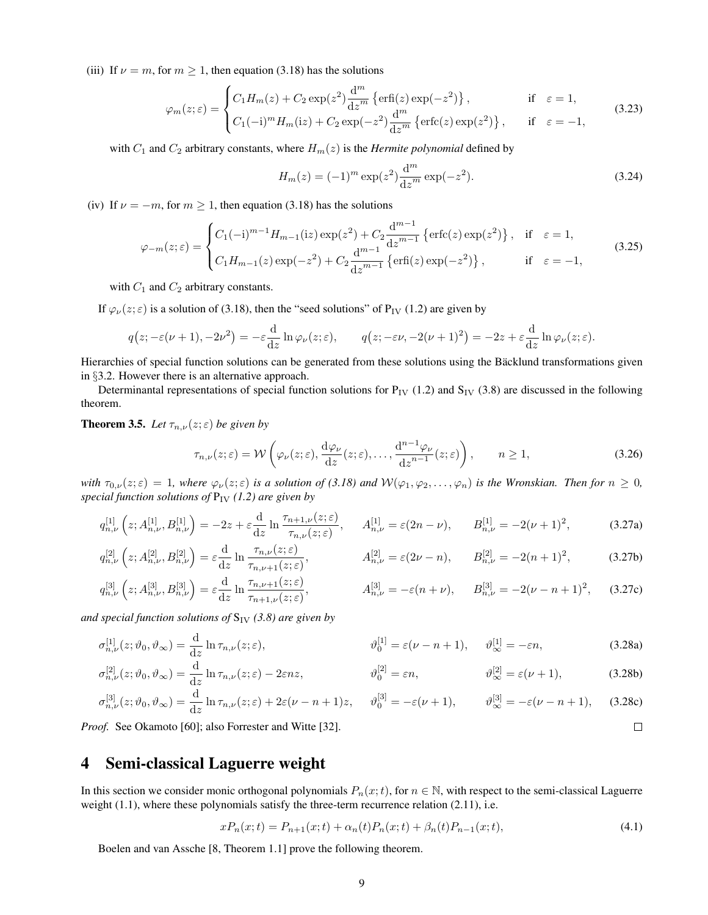(iii) If  $\nu = m$ , for  $m \ge 1$ , then equation (3.18) has the solutions

$$
\varphi_m(z;\varepsilon) = \begin{cases} C_1 H_m(z) + C_2 \exp(z^2) \frac{d^m}{dz^m} \left\{ \text{erfi}(z) \exp(-z^2) \right\}, & \text{if } \varepsilon = 1, \\ C_1(-i)^m H_m(iz) + C_2 \exp(-z^2) \frac{d^m}{dz^m} \left\{ \text{erfc}(z) \exp(z^2) \right\}, & \text{if } \varepsilon = -1, \end{cases}
$$
(3.23)

with  $C_1$  and  $C_2$  arbitrary constants, where  $H_m(z)$  is the *Hermite polynomial* defined by

$$
H_m(z) = (-1)^m \exp(z^2) \frac{d^m}{dz^m} \exp(-z^2).
$$
 (3.24)

(iv) If  $\nu = -m$ , for  $m \ge 1$ , then equation (3.18) has the solutions

$$
\varphi_{-m}(z;\varepsilon) = \begin{cases} C_1(-i)^{m-1} H_{m-1}(iz) \exp(z^2) + C_2 \frac{d^{m-1}}{dz^{m-1}} \left\{ \text{erfc}(z) \exp(z^2) \right\}, & \text{if } \varepsilon = 1, \\ C_1 H_{m-1}(z) \exp(-z^2) + C_2 \frac{d^{m-1}}{dz^{m-1}} \left\{ \text{erfi}(z) \exp(-z^2) \right\}, & \text{if } \varepsilon = -1, \end{cases}
$$
(3.25)

with  $C_1$  and  $C_2$  arbitrary constants.

If  $\varphi_{\nu}(z;\varepsilon)$  is a solution of (3.18), then the "seed solutions" of P<sub>IV</sub> (1.2) are given by

$$
q(z; -\varepsilon(\nu+1), -2\nu^2) = -\varepsilon \frac{\mathrm{d}}{\mathrm{d}z} \ln \varphi_\nu(z; \varepsilon), \qquad q(z; -\varepsilon\nu, -2(\nu+1)^2) = -2z + \varepsilon \frac{\mathrm{d}}{\mathrm{d}z} \ln \varphi_\nu(z; \varepsilon).
$$

Hierarchies of special function solutions can be generated from these solutions using the Bäcklund transformations given in §3.2. However there is an alternative approach.

Determinantal representations of special function solutions for  $P_{IV}$  (1.2) and  $S_{IV}$  (3.8) are discussed in the following theorem.

**Theorem 3.5.** *Let*  $\tau_{n,\nu}(z;\varepsilon)$  *be given by* 

$$
\tau_{n,\nu}(z;\varepsilon) = \mathcal{W}\left(\varphi_{\nu}(z;\varepsilon), \frac{\mathrm{d}\varphi_{\nu}}{\mathrm{d}z}(z;\varepsilon), \dots, \frac{\mathrm{d}^{n-1}\varphi_{\nu}}{\mathrm{d}z^{n-1}}(z;\varepsilon)\right), \qquad n \ge 1,
$$
\n(3.26)

*with*  $\tau_{0,\nu}(z;\varepsilon) = 1$ , where  $\varphi_{\nu}(z;\varepsilon)$  *is a solution of (3.18) and*  $W(\varphi_1,\varphi_2,\ldots,\varphi_n)$  *is the Wronskian. Then for*  $n \geq 0$ , *special function solutions of*  $P_{IV}$  (1.2) are given by

$$
q_{n,\nu}^{[1]}\left(z;A_{n,\nu}^{[1]},B_{n,\nu}^{[1]}\right) = -2z + \varepsilon \frac{\mathrm{d}}{\mathrm{d}z} \ln \frac{\tau_{n+1,\nu}(z;\varepsilon)}{\tau_{n,\nu}(z;\varepsilon)}, \quad A_{n,\nu}^{[1]} = \varepsilon (2n-\nu), \quad B_{n,\nu}^{[1]} = -2(\nu+1)^2, \tag{3.27a}
$$

$$
q_{n,\nu}^{[2]}\left(z;A_{n,\nu}^{[2]},B_{n,\nu}^{[2]}\right) = \varepsilon \frac{\mathrm{d}}{\mathrm{d}z}\ln\frac{\tau_{n,\nu}(z;\varepsilon)}{\tau_{n,\nu+1}(z;\varepsilon)}, \qquad A_{n,\nu}^{[2]} = \varepsilon(2\nu-n), \qquad B_{n,\nu}^{[2]} = -2(n+1)^2,\tag{3.27b}
$$

$$
q_{n,\nu}^{[3]}(z; A_{n,\nu}^{[3]}, B_{n,\nu}^{[3]}) = \varepsilon \frac{\mathrm{d}}{\mathrm{d}z} \ln \frac{\tau_{n,\nu+1}(z;\varepsilon)}{\tau_{n+1,\nu}(z;\varepsilon)}, \qquad A_{n,\nu}^{[3]} = -\varepsilon (n+\nu), \qquad B_{n,\nu}^{[3]} = -2(\nu - n + 1)^2, \qquad (3.27c)
$$

*and special function solutions of*  $S_{IV}$  (3.8) are given by

$$
\sigma_{n,\nu}^{[1]}(z;\vartheta_0,\vartheta_{\infty}) = \frac{\mathrm{d}}{\mathrm{d}z} \ln \tau_{n,\nu}(z;\varepsilon), \qquad \qquad \vartheta_0^{[1]} = \varepsilon(\nu - n + 1), \qquad \vartheta_{\infty}^{[1]} = -\varepsilon n, \qquad (3.28a)
$$

$$
\sigma_{n,\nu}^{[2]}(z;\vartheta_0,\vartheta_{\infty}) = \frac{\mathrm{d}}{\mathrm{d}z} \ln \tau_{n,\nu}(z;\varepsilon) - 2\varepsilon nz, \qquad \qquad \vartheta_0^{[2]} = \varepsilon n, \qquad \qquad \vartheta_{\infty}^{[2]} = \varepsilon(\nu+1), \qquad (3.28b)
$$

$$
\sigma_{n,\nu}^{[3]}(z;\vartheta_0,\vartheta_{\infty}) = \frac{\mathrm{d}}{\mathrm{d}z} \ln \tau_{n,\nu}(z;\varepsilon) + 2\varepsilon(\nu - n + 1)z, \qquad \vartheta_0^{[3]} = -\varepsilon(\nu + 1), \qquad \vartheta_{\infty}^{[3]} = -\varepsilon(\nu - n + 1), \qquad (3.28c)
$$
  
\n*of.* See Okamoto [60]; also Forrester and Witte [32].

*Proof.* See Okamoto [60]; also Forrester and Witte [32].

# 4 Semi-classical Laguerre weight

In this section we consider monic orthogonal polynomials  $P_n(x;t)$ , for  $n \in \mathbb{N}$ , with respect to the semi-classical Laguerre weight  $(1.1)$ , where these polynomials satisfy the three-term recurrence relation  $(2.11)$ , i.e.

$$
xP_n(x;t) = P_{n+1}(x;t) + \alpha_n(t)P_n(x;t) + \beta_n(t)P_{n-1}(x;t),
$$
\n(4.1)

Boelen and van Assche [8, Theorem 1.1] prove the following theorem.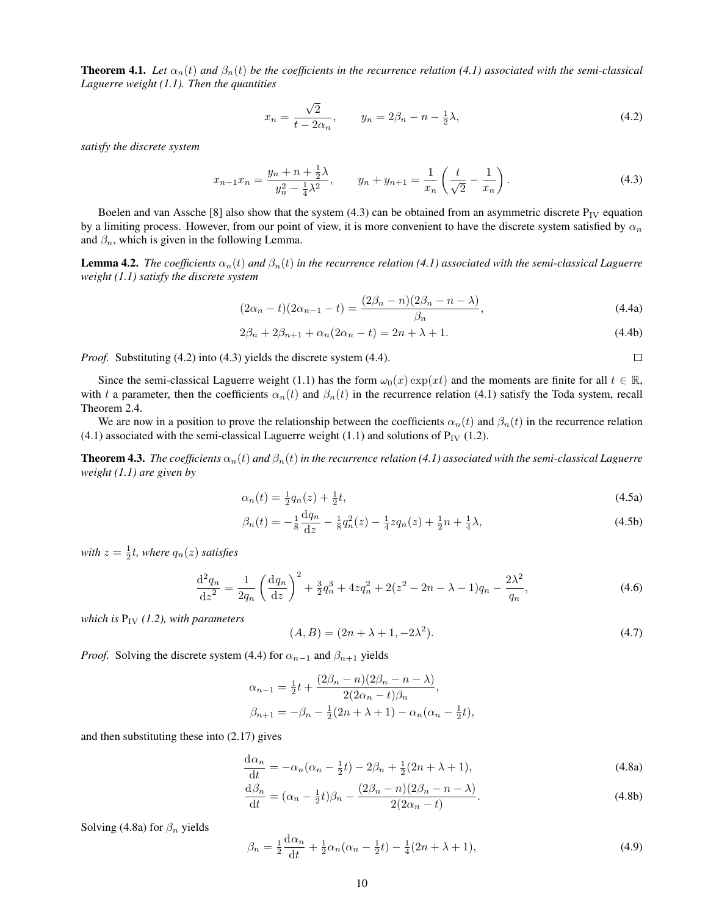**Theorem 4.1.** Let  $\alpha_n(t)$  and  $\beta_n(t)$  be the coefficients in the recurrence relation (4.1) associated with the semi-classical *Laguerre weight (1.1). Then the quantities*

$$
x_n = \frac{\sqrt{2}}{t - 2\alpha_n}, \qquad y_n = 2\beta_n - n - \frac{1}{2}\lambda,\tag{4.2}
$$

*satisfy the discrete system*

$$
x_{n-1}x_n = \frac{y_n + n + \frac{1}{2}\lambda}{y_n^2 - \frac{1}{4}\lambda^2}, \qquad y_n + y_{n+1} = \frac{1}{x_n} \left(\frac{t}{\sqrt{2}} - \frac{1}{x_n}\right).
$$
 (4.3)

Boelen and van Assche [8] also show that the system (4.3) can be obtained from an asymmetric discrete  $P_{IV}$  equation by a limiting process. However, from our point of view, it is more convenient to have the discrete system satisfied by  $\alpha_n$ and  $\beta_n$ , which is given in the following Lemma.

**Lemma 4.2.** *The coefficients*  $\alpha_n(t)$  *and*  $\beta_n(t)$  *in the recurrence relation* (4.1) associated with the semi-classical Laguerre *weight (1.1) satisfy the discrete system*

$$
(2\alpha_n - t)(2\alpha_{n-1} - t) = \frac{(2\beta_n - n)(2\beta_n - n - \lambda)}{\beta_n},
$$
\n(4.4a)

$$
2\beta_n + 2\beta_{n+1} + \alpha_n(2\alpha_n - t) = 2n + \lambda + 1.
$$
\n(4.4b)

 $\Box$ 

*Proof.* Substituting (4.2) into (4.3) yields the discrete system (4.4).

Since the semi-classical Laguerre weight (1.1) has the form  $\omega_0(x) \exp(xt)$  and the moments are finite for all  $t \in \mathbb{R}$ , with t a parameter, then the coefficients  $\alpha_n(t)$  and  $\beta_n(t)$  in the recurrence relation (4.1) satisfy the Toda system, recall Theorem 2.4.

We are now in a position to prove the relationship between the coefficients  $\alpha_n(t)$  and  $\beta_n(t)$  in the recurrence relation (4.1) associated with the semi-classical Laguerre weight (1.1) and solutions of  $P_{IV}$  (1.2).

**Theorem 4.3.** *The coefficients*  $\alpha_n(t)$  *and*  $\beta_n(t)$  *in the recurrence relation* (4.1) associated with the semi-classical Laguerre *weight (1.1) are given by*

$$
\alpha_n(t) = \frac{1}{2}q_n(z) + \frac{1}{2}t,\tag{4.5a}
$$

$$
\beta_n(t) = -\frac{1}{8}\frac{dq_n}{dz} - \frac{1}{8}q_n^2(z) - \frac{1}{4}zq_n(z) + \frac{1}{2}n + \frac{1}{4}\lambda,\tag{4.5b}
$$

 $with z = \frac{1}{2}t$ , where  $q_n(z)$  satisfies

$$
\frac{\mathrm{d}^2 q_n}{\mathrm{d}z^2} = \frac{1}{2q_n} \left( \frac{\mathrm{d}q_n}{\mathrm{d}z} \right)^2 + \frac{3}{2} q_n^3 + 4z q_n^2 + 2(z^2 - 2n - \lambda - 1) q_n - \frac{2\lambda^2}{q_n},\tag{4.6}
$$

*which is*  $P_{IV}$  (1.2), *with parameters* 

$$
(A, B) = (2n + \lambda + 1, -2\lambda^2). \tag{4.7}
$$

*Proof.* Solving the discrete system (4.4) for  $\alpha_{n-1}$  and  $\beta_{n+1}$  yields

$$
\alpha_{n-1} = \frac{1}{2}t + \frac{(2\beta_n - n)(2\beta_n - n - \lambda)}{2(2\alpha_n - t)\beta_n},
$$
  

$$
\beta_{n+1} = -\beta_n - \frac{1}{2}(2n + \lambda + 1) - \alpha_n(\alpha_n - \frac{1}{2}t),
$$

and then substituting these into (2.17) gives

$$
\frac{d\alpha_n}{dt} = -\alpha_n(\alpha_n - \frac{1}{2}t) - 2\beta_n + \frac{1}{2}(2n + \lambda + 1),
$$
\n(4.8a)

$$
\frac{d\beta_n}{dt} = (\alpha_n - \frac{1}{2}t)\beta_n - \frac{(2\beta_n - n)(2\beta_n - n - \lambda)}{2(2\alpha_n - t)}.
$$
\n(4.8b)

Solving (4.8a) for  $\beta_n$  yields

$$
\beta_n = \frac{1}{2} \frac{d\alpha_n}{dt} + \frac{1}{2} \alpha_n (\alpha_n - \frac{1}{2}t) - \frac{1}{4} (2n + \lambda + 1),\tag{4.9}
$$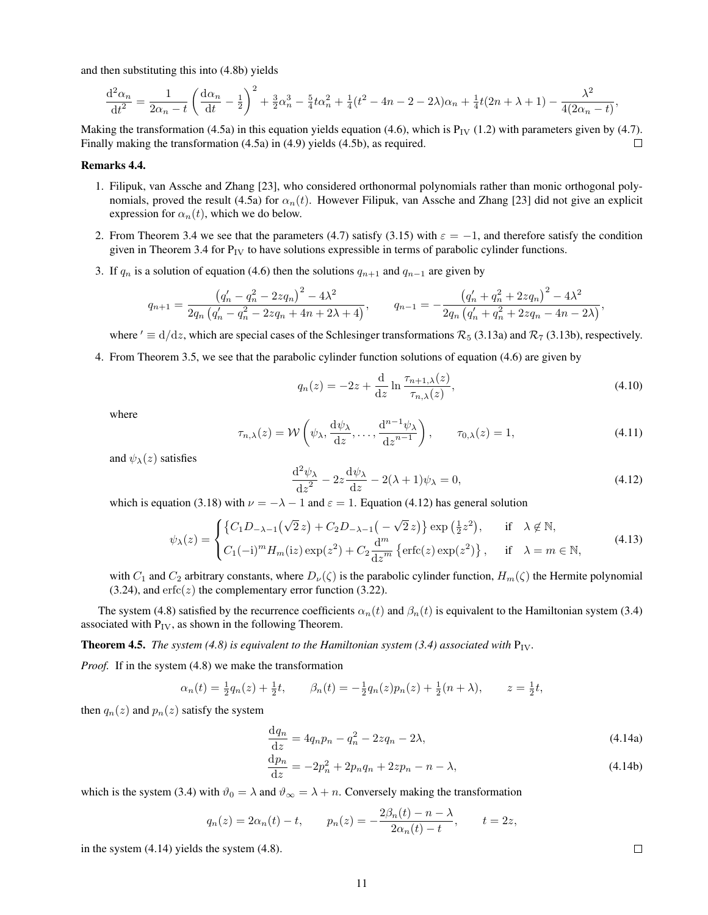and then substituting this into (4.8b) yields

$$
\frac{d^2\alpha_n}{dt^2} = \frac{1}{2\alpha_n - t} \left( \frac{d\alpha_n}{dt} - \frac{1}{2} \right)^2 + \frac{3}{2}\alpha_n^3 - \frac{5}{4}t\alpha_n^2 + \frac{1}{4}(t^2 - 4n - 2 - 2\lambda)\alpha_n + \frac{1}{4}t(2n + \lambda + 1) - \frac{\lambda^2}{4(2\alpha_n - t)},
$$

Making the transformation (4.5a) in this equation yields equation (4.6), which is  $P_{IV}$  (1.2) with parameters given by (4.7). Finally making the transformation (4.5a) in (4.9) yields (4.5b), as required.  $\Box$ 

#### Remarks 4.4.

- 1. Filipuk, van Assche and Zhang [23], who considered orthonormal polynomials rather than monic orthogonal polynomials, proved the result (4.5a) for  $\alpha_n(t)$ . However Filipuk, van Assche and Zhang [23] did not give an explicit expression for  $\alpha_n(t)$ , which we do below.
- 2. From Theorem 3.4 we see that the parameters (4.7) satisfy (3.15) with  $\varepsilon = -1$ , and therefore satisfy the condition given in Theorem 3.4 for  $P_{IV}$  to have solutions expressible in terms of parabolic cylinder functions.
- 3. If  $q_n$  is a solution of equation (4.6) then the solutions  $q_{n+1}$  and  $q_{n-1}$  are given by

$$
q_{n+1} = \frac{\left(q'_n - q_n^2 - 2zq_n\right)^2 - 4\lambda^2}{2q_n\left(q'_n - q_n^2 - 2zq_n + 4n + 2\lambda + 4\right)}, \qquad q_{n-1} = -\frac{\left(q'_n + q_n^2 + 2zq_n\right)^2 - 4\lambda^2}{2q_n\left(q'_n + q_n^2 + 2zq_n - 4n - 2\lambda\right)},
$$

where  $' \equiv d/dz$ , which are special cases of the Schlesinger transformations  $\mathcal{R}_5$  (3.13a) and  $\mathcal{R}_7$  (3.13b), respectively.

4. From Theorem 3.5, we see that the parabolic cylinder function solutions of equation (4.6) are given by

$$
q_n(z) = -2z + \frac{d}{dz} \ln \frac{\tau_{n+1,\lambda}(z)}{\tau_{n,\lambda}(z)},
$$
\n(4.10)

where

$$
\tau_{n,\lambda}(z) = \mathcal{W}\left(\psi_{\lambda}, \frac{\mathrm{d}\psi_{\lambda}}{\mathrm{d}z}, \dots, \frac{\mathrm{d}^{n-1}\psi_{\lambda}}{\mathrm{d}z^{n-1}}\right), \qquad \tau_{0,\lambda}(z) = 1,\tag{4.11}
$$

and  $\psi_{\lambda}(z)$  satisfies

$$
\frac{\mathrm{d}^2 \psi_\lambda}{\mathrm{d} z^2} - 2z \frac{\mathrm{d} \psi_\lambda}{\mathrm{d} z} - 2(\lambda + 1)\psi_\lambda = 0,\tag{4.12}
$$

which is equation (3.18) with  $\nu = -\lambda - 1$  and  $\varepsilon = 1$ . Equation (4.12) has general solution

$$
\psi_{\lambda}(z) = \begin{cases} \left\{C_1D_{-\lambda-1}\left(\sqrt{2}z\right) + C_2D_{-\lambda-1}\left(-\sqrt{2}z\right)\right\} \exp\left(\frac{1}{2}z^2\right), & \text{if } \lambda \notin \mathbb{N}, \\ C_1(-i)^m H_m(\text{i}z) \exp(z^2) + C_2 \frac{\mathrm{d}^m}{\mathrm{d}z^m} \left\{ \text{erfc}(z) \exp(z^2) \right\}, & \text{if } \lambda = m \in \mathbb{N}, \end{cases} \tag{4.13}
$$

with  $C_1$  and  $C_2$  arbitrary constants, where  $D_\nu(\zeta)$  is the parabolic cylinder function,  $H_m(\zeta)$  the Hermite polynomial (3.24), and  $erfc(z)$  the complementary error function (3.22).

The system (4.8) satisfied by the recurrence coefficients  $\alpha_n(t)$  and  $\beta_n(t)$  is equivalent to the Hamiltonian system (3.4) associated with  $P_{IV}$ , as shown in the following Theorem.

**Theorem 4.5.** *The system (4.8) is equivalent to the Hamiltonian system (3.4) associated with*  $P_{IV}$ .

*Proof.* If in the system (4.8) we make the transformation

$$
\alpha_n(t) = \frac{1}{2}q_n(z) + \frac{1}{2}t, \qquad \beta_n(t) = -\frac{1}{2}q_n(z)p_n(z) + \frac{1}{2}(n+\lambda), \qquad z = \frac{1}{2}t,
$$

then  $q_n(z)$  and  $p_n(z)$  satisfy the system

$$
\frac{dq_n}{dz} = 4q_n p_n - q_n^2 - 2zq_n - 2\lambda,
$$
\n(4.14a)  
\n
$$
\frac{dp_n}{dz} = 4q_n p_n - q_n^2 - 2zq_n - 2\lambda,
$$
\n(4.14b)

$$
\frac{dp_n}{dz} = -2p_n^2 + 2p_n q_n + 2zp_n - n - \lambda,
$$
\n(4.14b)

which is the system (3.4) with  $\vartheta_0 = \lambda$  and  $\vartheta_\infty = \lambda + n$ . Conversely making the transformation

$$
q_n(z) = 2\alpha_n(t) - t
$$
,  $p_n(z) = -\frac{2\beta_n(t) - n - \lambda}{2\alpha_n(t) - t}$ ,  $t = 2z$ ,

in the system (4.14) yields the system (4.8).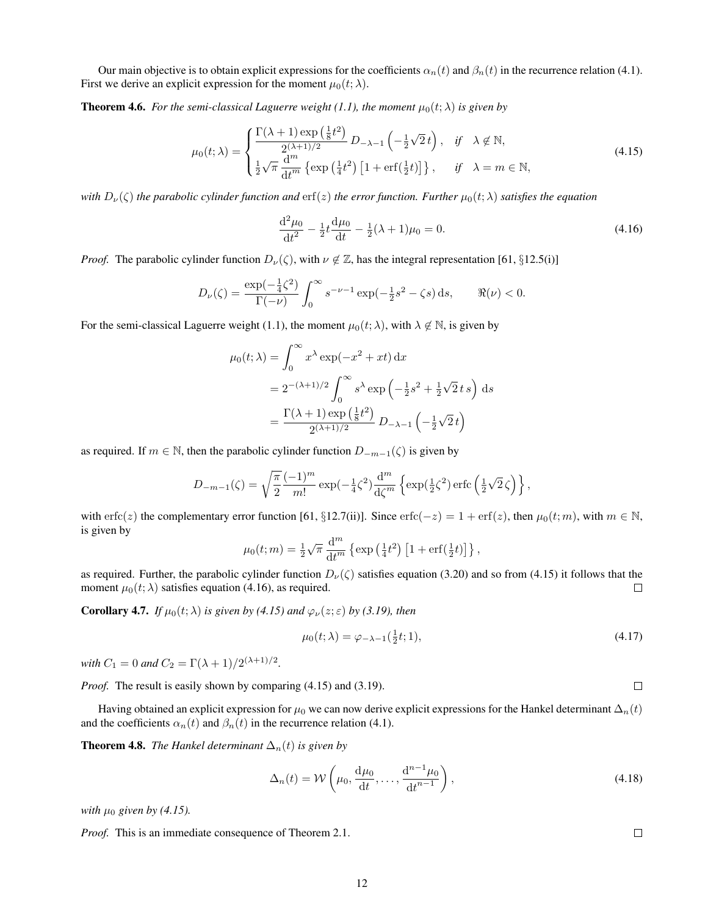Our main objective is to obtain explicit expressions for the coefficients  $\alpha_n(t)$  and  $\beta_n(t)$  in the recurrence relation (4.1). First we derive an explicit expression for the moment  $\mu_0(t; \lambda)$ .

**Theorem 4.6.** *For the semi-classical Laguerre weight (1.1), the moment*  $\mu_0(t; \lambda)$  *is given by* 

$$
\mu_0(t;\lambda) = \begin{cases} \frac{\Gamma(\lambda+1)\exp\left(\frac{1}{8}t^2\right)}{2^{(\lambda+1)/2}} D_{-\lambda-1}\left(-\frac{1}{2}\sqrt{2}\,t\right), & \text{if } \lambda \notin \mathbb{N}, \\ \frac{1}{2}\sqrt{\pi}\frac{d^m}{dt^m} \left\{\exp\left(\frac{1}{4}t^2\right)\left[1+\text{erf}\left(\frac{1}{2}t\right)\right]\right\}, & \text{if } \lambda = m \in \mathbb{N}, \end{cases} \tag{4.15}
$$

*with*  $D_\nu(\zeta)$  *the parabolic cylinder function and*  $erf(z)$  *the error function. Further*  $\mu_0(t;\lambda)$  *satisfies the equation* 

$$
\frac{\mathrm{d}^2 \mu_0}{\mathrm{d}t^2} - \frac{1}{2}t \frac{\mathrm{d}\mu_0}{\mathrm{d}t} - \frac{1}{2}(\lambda + 1)\mu_0 = 0. \tag{4.16}
$$

*Proof.* The parabolic cylinder function  $D_{\nu}(\zeta)$ , with  $\nu \notin \mathbb{Z}$ , has the integral representation [61, §12.5(i)]

$$
D_{\nu}(\zeta) = \frac{\exp(-\frac{1}{4}\zeta^2)}{\Gamma(-\nu)} \int_0^{\infty} s^{-\nu - 1} \exp(-\frac{1}{2}s^2 - \zeta s) \,ds, \qquad \Re(\nu) < 0.
$$

For the semi-classical Laguerre weight (1.1), the moment  $\mu_0(t; \lambda)$ , with  $\lambda \notin \mathbb{N}$ , is given by

$$
\mu_0(t; \lambda) = \int_0^\infty x^\lambda \exp(-x^2 + xt) dx
$$
  
=  $2^{-(\lambda+1)/2} \int_0^\infty s^\lambda \exp\left(-\frac{1}{2}s^2 + \frac{1}{2}\sqrt{2}ts\right) ds$   
=  $\frac{\Gamma(\lambda+1) \exp\left(\frac{1}{8}t^2\right)}{2^{(\lambda+1)/2}} D_{-\lambda-1} \left(-\frac{1}{2}\sqrt{2}t\right)$ 

as required. If  $m \in \mathbb{N}$ , then the parabolic cylinder function  $D_{-m-1}(\zeta)$  is given by

$$
D_{-m-1}(\zeta) = \sqrt{\frac{\pi}{2}} \frac{(-1)^m}{m!} \exp(-\frac{1}{4}\zeta^2) \frac{d^m}{d\zeta^m} \left\{ \exp(\frac{1}{2}\zeta^2) \operatorname{erfc}\left(\frac{1}{2}\sqrt{2}\zeta\right) \right\},\,
$$

with erfc(z) the complementary error function [61, §12.7(ii)]. Since erfc(-z) = 1 + erf(z), then  $\mu_0(t; m)$ , with  $m \in \mathbb{N}$ , is given by

$$
\mu_0(t;m) = \frac{1}{2}\sqrt{\pi} \frac{d^m}{dt^m} \left\{ \exp\left(\frac{1}{4}t^2\right) \left[1 + \text{erf}\left(\frac{1}{2}t\right)\right] \right\},\,
$$

as required. Further, the parabolic cylinder function  $D_{\nu}(\zeta)$  satisfies equation (3.20) and so from (4.15) it follows that the moment  $\mu_0(t; \lambda)$  satisfies equation (4.16), as required.  $\Box$ 

**Corollary 4.7.** *If*  $\mu_0(t; \lambda)$  *is given by (4.15) and*  $\varphi_{\nu}(z; \varepsilon)$  *by (3.19), then* 

$$
\mu_0(t; \lambda) = \varphi_{-\lambda - 1}(\frac{1}{2}t; 1), \tag{4.17}
$$

*with*  $C_1 = 0$  *and*  $C_2 = \Gamma(\lambda + 1)/2^{(\lambda + 1)/2}$ .

*Proof.* The result is easily shown by comparing (4.15) and (3.19).

Having obtained an explicit expression for  $\mu_0$  we can now derive explicit expressions for the Hankel determinant  $\Delta_n(t)$ and the coefficients  $\alpha_n(t)$  and  $\beta_n(t)$  in the recurrence relation (4.1).

**Theorem 4.8.** *The Hankel determinant*  $\Delta_n(t)$  *is given by* 

$$
\Delta_n(t) = \mathcal{W}\left(\mu_0, \frac{\mathrm{d}\mu_0}{\mathrm{d}t}, \dots, \frac{\mathrm{d}^{n-1}\mu_0}{\mathrm{d}t^{n-1}}\right),\tag{4.18}
$$

*with*  $\mu_0$  *given by (4.15).* 

*Proof.* This is an immediate consequence of Theorem 2.1.

 $\Box$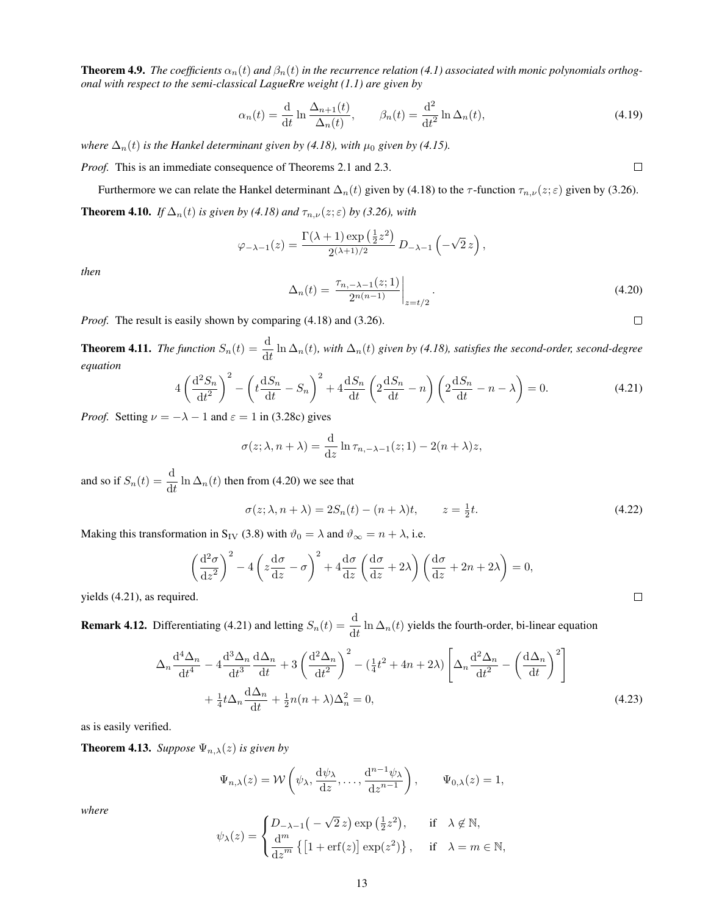**Theorem 4.9.** *The coefficients*  $\alpha_n(t)$  *and*  $\beta_n(t)$  *in the recurrence relation* (4.1) associated with monic polynomials orthog*onal with respect to the semi-classical LagueRre weight (1.1) are given by*

$$
\alpha_n(t) = \frac{\mathrm{d}}{\mathrm{d}t} \ln \frac{\Delta_{n+1}(t)}{\Delta_n(t)}, \qquad \beta_n(t) = \frac{\mathrm{d}^2}{\mathrm{d}t^2} \ln \Delta_n(t), \tag{4.19}
$$

*where*  $\Delta_n(t)$  *is the Hankel determinant given by (4.18), with*  $\mu_0$  *given by (4.15).* 

*Proof.* This is an immediate consequence of Theorems 2.1 and 2.3.

Furthermore we can relate the Hankel determinant  $\Delta_n(t)$  given by (4.18) to the  $\tau$ -function  $\tau_{n,\nu}(z;\varepsilon)$  given by (3.26). **Theorem 4.10.** *If*  $\Delta_n(t)$  *is given by (4.18) and*  $\tau_{n,\nu}(z;\epsilon)$  *by (3.26), with* 

$$
\varphi_{-\lambda-1}(z) = \frac{\Gamma(\lambda+1)\exp\left(\frac{1}{2}z^2\right)}{2^{(\lambda+1)/2}}\,D_{-\lambda-1}\left(-\sqrt{2}\,z\right),\,
$$

*then*

$$
\Delta_n(t) = \left. \frac{\tau_{n, -\lambda - 1}(z; 1)}{2^{n(n-1)}} \right|_{z = t/2}.
$$
\n(4.20)

*Proof.* The result is easily shown by comparing (4.18) and (3.26).

**Theorem 4.11.** *The function*  $S_n(t) = \frac{d}{dt} \ln \Delta_n(t)$ , with  $\Delta_n(t)$  given by (4.18), satisfies the second-order, second-degree *equation*

$$
4\left(\frac{\mathrm{d}^2S_n}{\mathrm{d}t^2}\right)^2 - \left(t\frac{\mathrm{d}S_n}{\mathrm{d}t} - S_n\right)^2 + 4\frac{\mathrm{d}S_n}{\mathrm{d}t} \left(2\frac{\mathrm{d}S_n}{\mathrm{d}t} - n\right) \left(2\frac{\mathrm{d}S_n}{\mathrm{d}t} - n - \lambda\right) = 0. \tag{4.21}
$$

*Proof.* Setting  $\nu = -\lambda - 1$  and  $\varepsilon = 1$  in (3.28c) gives

$$
\sigma(z; \lambda, n + \lambda) = \frac{\mathrm{d}}{\mathrm{d}z} \ln \tau_{n, -\lambda - 1}(z; 1) - 2(n + \lambda)z,
$$

and so if  $S_n(t) = \frac{d}{dt} \ln \Delta_n(t)$  then from (4.20) we see that

$$
\sigma(z; \lambda, n + \lambda) = 2S_n(t) - (n + \lambda)t, \qquad z = \frac{1}{2}t.
$$
\n(4.22)

Making this transformation in S<sub>IV</sub> (3.8) with  $\vartheta_0 = \lambda$  and  $\vartheta_{\infty} = n + \lambda$ , i.e.

$$
\left(\frac{\mathrm{d}^2\sigma}{\mathrm{d}z^2}\right)^2 - 4\left(z\frac{\mathrm{d}\sigma}{\mathrm{d}z} - \sigma\right)^2 + 4\frac{\mathrm{d}\sigma}{\mathrm{d}z}\left(\frac{\mathrm{d}\sigma}{\mathrm{d}z} + 2\lambda\right)\left(\frac{\mathrm{d}\sigma}{\mathrm{d}z} + 2n + 2\lambda\right) = 0,
$$

yields (4.21), as required.

**Remark 4.12.** Differentiating (4.21) and letting  $S_n(t) = \frac{d}{dt} \ln \Delta_n(t)$  yields the fourth-order, bi-linear equation

$$
\Delta_n \frac{\mathrm{d}^4 \Delta_n}{\mathrm{d}t^4} - 4 \frac{\mathrm{d}^3 \Delta_n}{\mathrm{d}t^3} \frac{\mathrm{d}\Delta_n}{\mathrm{d}t} + 3 \left( \frac{\mathrm{d}^2 \Delta_n}{\mathrm{d}t^2} \right)^2 - \left( \frac{1}{4} t^2 + 4n + 2\lambda \right) \left[ \Delta_n \frac{\mathrm{d}^2 \Delta_n}{\mathrm{d}t^2} - \left( \frac{\mathrm{d}\Delta_n}{\mathrm{d}t} \right)^2 \right] + \frac{1}{4} t \Delta_n \frac{\mathrm{d}\Delta_n}{\mathrm{d}t} + \frac{1}{2} n(n+\lambda) \Delta_n^2 = 0,
$$
\n(4.23)

as is easily verified.

**Theorem 4.13.** *Suppose*  $\Psi_{n,\lambda}(z)$  *is given by* 

$$
\Psi_{n,\lambda}(z) = \mathcal{W}\left(\psi_{\lambda}, \frac{\mathrm{d}\psi_{\lambda}}{\mathrm{d}z}, \dots, \frac{\mathrm{d}^{n-1}\psi_{\lambda}}{\mathrm{d}z^{n-1}}\right), \qquad \Psi_{0,\lambda}(z) = 1,
$$

*where*

$$
\psi_{\lambda}(z) = \begin{cases} D_{-\lambda-1}\left(-\sqrt{2}z\right) \exp\left(\frac{1}{2}z^2\right), & \text{if } \lambda \notin \mathbb{N}, \\ \frac{d^m}{dz^m} \left\{\left[1 + \text{erf}(z)\right] \exp(z^2)\right\}, & \text{if } \lambda = m \in \mathbb{N}, \end{cases}
$$

 $\Box$ 

 $\Box$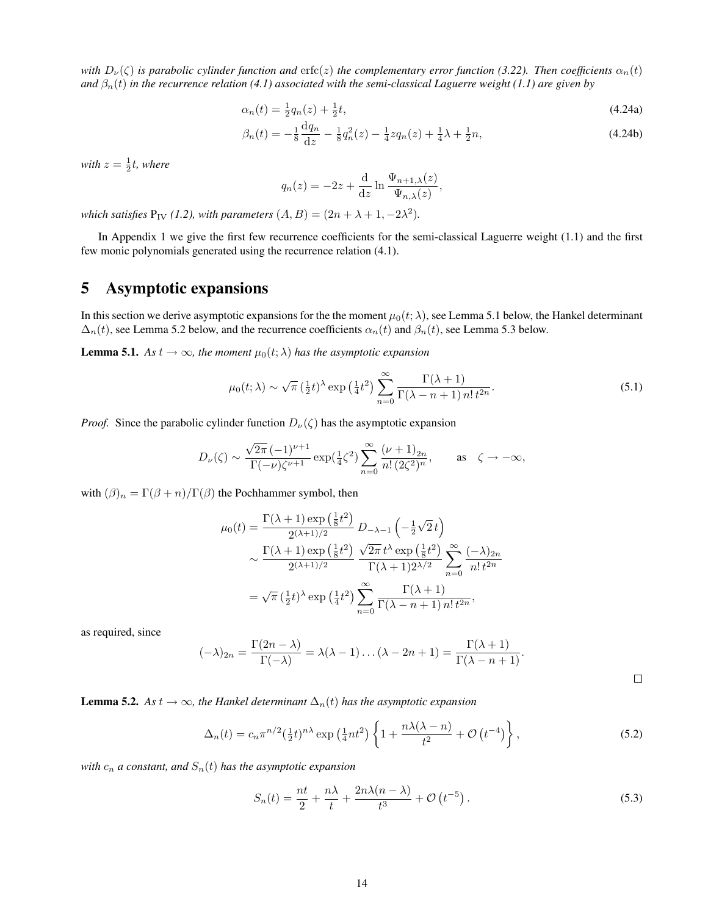*with*  $D_\nu(\zeta)$  *is parabolic cylinder function and* erfc(*z*) *the complementary error function* (3.22). *Then coefficients*  $\alpha_n(t)$ *and*  $\beta_n(t)$  *in the recurrence relation* (4.1) associated with the semi-classical Laguerre weight (1.1) are given by

$$
\alpha_n(t) = \frac{1}{2}q_n(z) + \frac{1}{2}t,\tag{4.24a}
$$

$$
\beta_n(t) = -\frac{1}{8}\frac{dq_n}{dz} - \frac{1}{8}q_n^2(z) - \frac{1}{4}zq_n(z) + \frac{1}{4}\lambda + \frac{1}{2}n,\tag{4.24b}
$$

with  $z = \frac{1}{2}t$ , where

$$
q_n(z) = -2z + \frac{\mathrm{d}}{\mathrm{d}z} \ln \frac{\Psi_{n+1,\lambda}(z)}{\Psi_{n,\lambda}(z)},
$$

*which satisfies*  $P_{IV}$  (1.2), with parameters  $(A, B) = (2n + \lambda + 1, -2\lambda^2)$ .

In Appendix 1 we give the first few recurrence coefficients for the semi-classical Laguerre weight (1.1) and the first few monic polynomials generated using the recurrence relation (4.1).

# 5 Asymptotic expansions

In this section we derive asymptotic expansions for the the moment  $\mu_0(t; \lambda)$ , see Lemma 5.1 below, the Hankel determinant  $\Delta_n(t)$ , see Lemma 5.2 below, and the recurrence coefficients  $\alpha_n(t)$  and  $\beta_n(t)$ , see Lemma 5.3 below.

**Lemma 5.1.** *As*  $t \to \infty$ *, the moment*  $\mu_0(t; \lambda)$  *has the asymptotic expansion* 

$$
\mu_0(t;\lambda) \sim \sqrt{\pi} \left(\frac{1}{2}t\right)^{\lambda} \exp\left(\frac{1}{4}t^2\right) \sum_{n=0}^{\infty} \frac{\Gamma(\lambda+1)}{\Gamma(\lambda-n+1) n! t^{2n}}.
$$
\n(5.1)

*Proof.* Since the parabolic cylinder function  $D_{\nu}(\zeta)$  has the asymptotic expansion

$$
D_{\nu}(\zeta) \sim \frac{\sqrt{2\pi} \, (-1)^{\nu+1}}{\Gamma(-\nu)\zeta^{\nu+1}} \exp(\tfrac{1}{4}\zeta^2) \sum_{n=0}^{\infty} \frac{(\nu+1)_{2n}}{n! \, (2\zeta^2)^n}, \qquad \text{as} \quad \zeta \to -\infty,
$$

with  $(\beta)_n = \Gamma(\beta + n)/\Gamma(\beta)$  the Pochhammer symbol, then

$$
\mu_0(t) = \frac{\Gamma(\lambda+1)\exp\left(\frac{1}{8}t^2\right)}{2^{(\lambda+1)/2}} D_{-\lambda-1}\left(-\frac{1}{2}\sqrt{2}t\right)
$$

$$
\sim \frac{\Gamma(\lambda+1)\exp\left(\frac{1}{8}t^2\right)}{2^{(\lambda+1)/2}} \frac{\sqrt{2\pi}t^{\lambda}\exp\left(\frac{1}{8}t^2\right)}{\Gamma(\lambda+1)2^{\lambda/2}} \sum_{n=0}^{\infty} \frac{(-\lambda)_{2n}}{n! t^{2n}}
$$

$$
= \sqrt{\pi}\left(\frac{1}{2}t\right)^{\lambda}\exp\left(\frac{1}{4}t^2\right) \sum_{n=0}^{\infty} \frac{\Gamma(\lambda+1)}{\Gamma(\lambda-n+1)\,n! t^{2n}},
$$

as required, since

$$
(-\lambda)_{2n} = \frac{\Gamma(2n - \lambda)}{\Gamma(-\lambda)} = \lambda(\lambda - 1)\dots(\lambda - 2n + 1) = \frac{\Gamma(\lambda + 1)}{\Gamma(\lambda - n + 1)}.
$$

**Lemma 5.2.** *As*  $t \to \infty$ *, the Hankel determinant*  $\Delta_n(t)$  *has the asymptotic expansion* 

$$
\Delta_n(t) = c_n \pi^{n/2} \left(\frac{1}{2}t\right)^{n\lambda} \exp\left(\frac{1}{4}nt^2\right) \left\{1 + \frac{n\lambda(\lambda - n)}{t^2} + \mathcal{O}\left(t^{-4}\right)\right\},\tag{5.2}
$$

*with*  $c_n$  *a* constant, and  $S_n(t)$  has the asymptotic expansion

$$
S_n(t) = \frac{nt}{2} + \frac{n\lambda}{t} + \frac{2n\lambda(n-\lambda)}{t^3} + \mathcal{O}\left(t^{-5}\right). \tag{5.3}
$$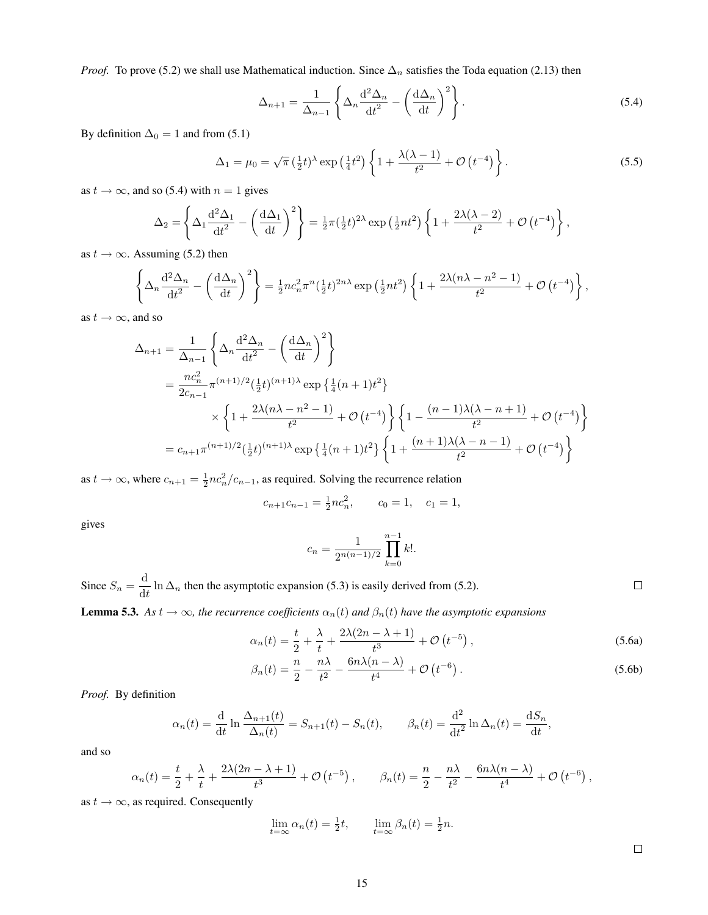*Proof.* To prove (5.2) we shall use Mathematical induction. Since  $\Delta_n$  satisfies the Toda equation (2.13) then

$$
\Delta_{n+1} = \frac{1}{\Delta_{n-1}} \left\{ \Delta_n \frac{\mathrm{d}^2 \Delta_n}{\mathrm{d}t^2} - \left( \frac{\mathrm{d}\Delta_n}{\mathrm{d}t} \right)^2 \right\}.
$$
\n(5.4)

By definition  $\Delta_0 = 1$  and from (5.1)

$$
\Delta_1 = \mu_0 = \sqrt{\pi} \left(\frac{1}{2}t\right)^{\lambda} \exp\left(\frac{1}{4}t^2\right) \left\{1 + \frac{\lambda(\lambda - 1)}{t^2} + \mathcal{O}\left(t^{-4}\right)\right\}.
$$
\n
$$
(5.5)
$$

as  $t \to \infty$ , and so (5.4) with  $n = 1$  gives

$$
\Delta_2 = \left\{ \Delta_1 \frac{d^2 \Delta_1}{dt^2} - \left( \frac{d \Delta_1}{dt} \right)^2 \right\} = \frac{1}{2} \pi \left( \frac{1}{2} t \right)^{2 \lambda} \exp \left( \frac{1}{2} n t^2 \right) \left\{ 1 + \frac{2 \lambda (\lambda - 2)}{t^2} + \mathcal{O} \left( t^{-4} \right) \right\},
$$

as  $t \to \infty$ . Assuming (5.2) then

$$
\left\{\Delta_n \frac{\mathrm{d}^2 \Delta_n}{\mathrm{d}t^2} - \left(\frac{\mathrm{d}\Delta_n}{\mathrm{d}t}\right)^2\right\} = \frac{1}{2}nc_n^2 \pi^n \left(\frac{1}{2}t\right)^{2n\lambda} \exp\left(\frac{1}{2}nt^2\right) \left\{1 + \frac{2\lambda(n\lambda - n^2 - 1)}{t^2} + \mathcal{O}\left(t^{-4}\right)\right\}
$$

as  $t \rightarrow \infty$ , and so

$$
\Delta_{n+1} = \frac{1}{\Delta_{n-1}} \left\{ \Delta_n \frac{d^2 \Delta_n}{dt^2} - \left(\frac{d \Delta_n}{dt}\right)^2 \right\}
$$
  
\n
$$
= \frac{nc_n^2}{2c_{n-1}} \pi^{(n+1)/2} \left(\frac{1}{2}t\right)^{(n+1)\lambda} \exp\left\{\frac{1}{4}(n+1)t^2\right\}
$$
  
\n
$$
\times \left\{ 1 + \frac{2\lambda(n\lambda - n^2 - 1)}{t^2} + \mathcal{O}(t^{-4}) \right\} \left\{ 1 - \frac{(n-1)\lambda(\lambda - n + 1)}{t^2} + \mathcal{O}(t^{-4}) \right\}
$$
  
\n
$$
= c_{n+1} \pi^{(n+1)/2} \left(\frac{1}{2}t\right)^{(n+1)\lambda} \exp\left\{\frac{1}{4}(n+1)t^2\right\} \left\{ 1 + \frac{(n+1)\lambda(\lambda - n - 1)}{t^2} + \mathcal{O}(t^{-4}) \right\}
$$

as  $t \to \infty$ , where  $c_{n+1} = \frac{1}{2} n c_n^2 / c_{n-1}$ , as required. Solving the recurrence relation

$$
c_{n+1}c_{n-1} = \frac{1}{2}nc_n^2, \qquad c_0 = 1, \quad c_1 = 1,
$$

gives

$$
c_n = \frac{1}{2^{n(n-1)/2}} \prod_{k=0}^{n-1} k!.
$$

Since  $S_n = \frac{d}{dt}$  $\frac{d}{dt} \ln \Delta_n$  then the asymptotic expansion (5.3) is easily derived from (5.2). **Lemma 5.3.** As  $t \to \infty$ , the recurrence coefficients  $\alpha_n(t)$  and  $\beta_n(t)$  have the asymptotic expansions

$$
\alpha_n(t) = \frac{t}{2} + \frac{\lambda}{t} + \frac{2\lambda(2n - \lambda + 1)}{t^3} + \mathcal{O}\left(t^{-5}\right),\tag{5.6a}
$$

$$
\beta_n(t) = \frac{n}{2} - \frac{n\lambda}{t^2} - \frac{6n\lambda(n-\lambda)}{t^4} + \mathcal{O}\left(t^{-6}\right). \tag{5.6b}
$$

*Proof.* By definition

$$
\alpha_n(t) = \frac{\mathrm{d}}{\mathrm{d}t} \ln \frac{\Delta_{n+1}(t)}{\Delta_n(t)} = S_{n+1}(t) - S_n(t), \qquad \beta_n(t) = \frac{\mathrm{d}^2}{\mathrm{d}t^2} \ln \Delta_n(t) = \frac{\mathrm{d}S_n}{\mathrm{d}t},
$$

and so

$$
\alpha_n(t) = \frac{t}{2} + \frac{\lambda}{t} + \frac{2\lambda(2n - \lambda + 1)}{t^3} + \mathcal{O}(t^{-5}), \qquad \beta_n(t) = \frac{n}{2} - \frac{n\lambda}{t^2} - \frac{6n\lambda(n - \lambda)}{t^4} + \mathcal{O}(t^{-6}),
$$

as  $t \to \infty$ , as required. Consequently

$$
\lim_{t=\infty} \alpha_n(t) = \frac{1}{2}t, \qquad \lim_{t=\infty} \beta_n(t) = \frac{1}{2}n.
$$

 $\Box$ 

,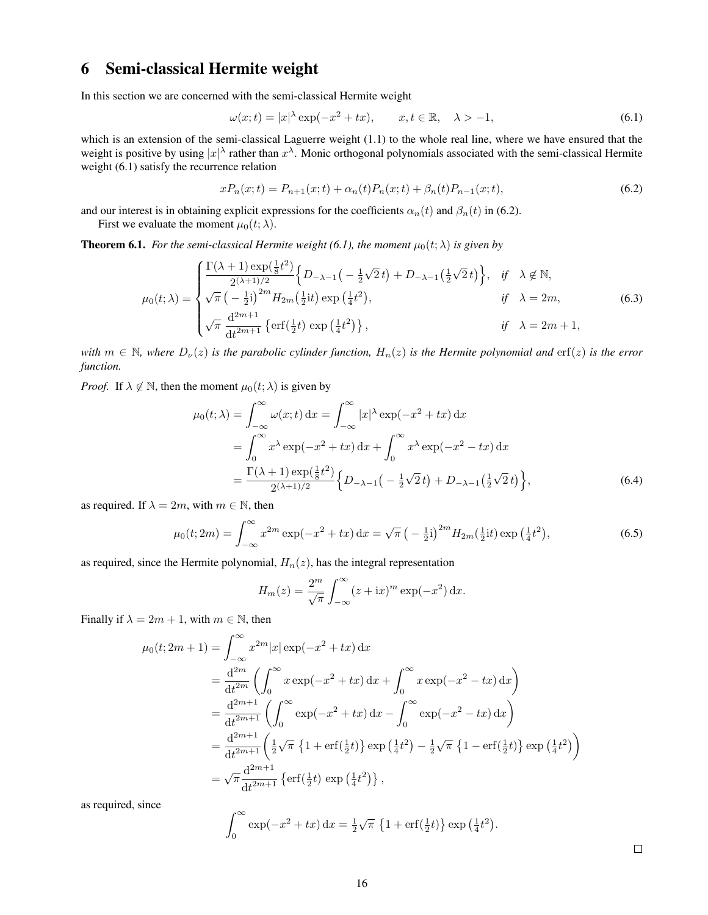# 6 Semi-classical Hermite weight

In this section we are concerned with the semi-classical Hermite weight

$$
\omega(x;t) = |x|^\lambda \exp(-x^2 + tx), \qquad x, t \in \mathbb{R}, \quad \lambda > -1,
$$
\n(6.1)

which is an extension of the semi-classical Laguerre weight (1.1) to the whole real line, where we have ensured that the weight is positive by using  $|x|^\lambda$  rather than  $x^\lambda$ . Monic orthogonal polynomials associated with the semi-classical Hermite weight (6.1) satisfy the recurrence relation

$$
xP_n(x;t) = P_{n+1}(x;t) + \alpha_n(t)P_n(x;t) + \beta_n(t)P_{n-1}(x;t),
$$
\n(6.2)

and our interest is in obtaining explicit expressions for the coefficients  $\alpha_n(t)$  and  $\beta_n(t)$  in (6.2).

First we evaluate the moment  $\mu_0(t; \lambda)$ .

**Theorem 6.1.** *For the semi-classical Hermite weight (6.1), the moment*  $\mu_0(t; \lambda)$  *is given by* 

$$
\mu_0(t;\lambda) = \begin{cases}\n\frac{\Gamma(\lambda+1)\exp(\frac{1}{8}t^2)}{2^{(\lambda+1)/2}} \left\{ D_{-\lambda-1} \left( -\frac{1}{2}\sqrt{2}t \right) + D_{-\lambda-1} \left( \frac{1}{2}\sqrt{2}t \right) \right\}, & \text{if } \lambda \notin \mathbb{N}, \\
\sqrt{\pi} \left( -\frac{1}{2}i \right)^{2m} H_{2m} \left( \frac{1}{2}it \right) \exp\left( \frac{1}{4}t^2 \right), & \text{if } \lambda = 2m, \\
\sqrt{\pi} \frac{d^{2m+1}}{dt^{2m+1}} \left\{ \text{erf} \left( \frac{1}{2}t \right) \exp\left( \frac{1}{4}t^2 \right) \right\}, & \text{if } \lambda = 2m+1,\n\end{cases}
$$
\n(6.3)

*with*  $m \in \mathbb{N}$ , where  $D_{\nu}(z)$  *is the parabolic cylinder function,*  $H_n(z)$  *is the Hermite polynomial and* erf(*z*) *is the error function.*

*Proof.* If  $\lambda \notin \mathbb{N}$ , then the moment  $\mu_0(t; \lambda)$  is given by

$$
\mu_0(t;\lambda) = \int_{-\infty}^{\infty} \omega(x;t) dx = \int_{-\infty}^{\infty} |x|^\lambda \exp(-x^2 + tx) dx
$$
  
= 
$$
\int_{0}^{\infty} x^\lambda \exp(-x^2 + tx) dx + \int_{0}^{\infty} x^\lambda \exp(-x^2 - tx) dx
$$
  
= 
$$
\frac{\Gamma(\lambda+1) \exp(\frac{1}{8}t^2)}{2^{(\lambda+1)/2}} \Big\{ D_{-\lambda-1} \Big( -\frac{1}{2}\sqrt{2}t \Big) + D_{-\lambda-1} \Big( \frac{1}{2}\sqrt{2}t \Big) \Big\},
$$
(6.4)

as required. If  $\lambda = 2m$ , with  $m \in \mathbb{N}$ , then

$$
\mu_0(t; 2m) = \int_{-\infty}^{\infty} x^{2m} \exp(-x^2 + tx) dx = \sqrt{\pi} \left( -\frac{1}{2}i \right)^{2m} H_{2m}(\frac{1}{2}it) \exp\left(\frac{1}{4}t^2\right),\tag{6.5}
$$

as required, since the Hermite polynomial,  $H_n(z)$ , has the integral representation

$$
H_m(z) = \frac{2^m}{\sqrt{\pi}} \int_{-\infty}^{\infty} (z + ix)^m \exp(-x^2) dx.
$$

Finally if  $\lambda = 2m + 1$ , with  $m \in \mathbb{N}$ , then

$$
\mu_0(t; 2m + 1) = \int_{-\infty}^{\infty} x^{2m} |x| \exp(-x^2 + tx) dx
$$
  
\n
$$
= \frac{d^{2m}}{dt^{2m}} \left( \int_0^{\infty} x \exp(-x^2 + tx) dx + \int_0^{\infty} x \exp(-x^2 - tx) dx \right)
$$
  
\n
$$
= \frac{d^{2m+1}}{dt^{2m+1}} \left( \int_0^{\infty} \exp(-x^2 + tx) dx - \int_0^{\infty} \exp(-x^2 - tx) dx \right)
$$
  
\n
$$
= \frac{d^{2m+1}}{dt^{2m+1}} \left( \frac{1}{2} \sqrt{\pi} \left\{ 1 + \text{erf}(\frac{1}{2}t) \right\} \exp(\frac{1}{4}t^2) - \frac{1}{2} \sqrt{\pi} \left\{ 1 - \text{erf}(\frac{1}{2}t) \right\} \exp(\frac{1}{4}t^2) \right\}
$$
  
\n
$$
= \sqrt{\pi} \frac{d^{2m+1}}{dt^{2m+1}} \left\{ \text{erf}(\frac{1}{2}t) \exp(\frac{1}{4}t^2) \right\},
$$
  
\nSince

as required, s

$$
\int_0^\infty \exp(-x^2 + tx) dx = \frac{1}{2}\sqrt{\pi} \left\{1 + \text{erf}(\frac{1}{2}t)\right\} \exp\left(\frac{1}{4}t^2\right)
$$

.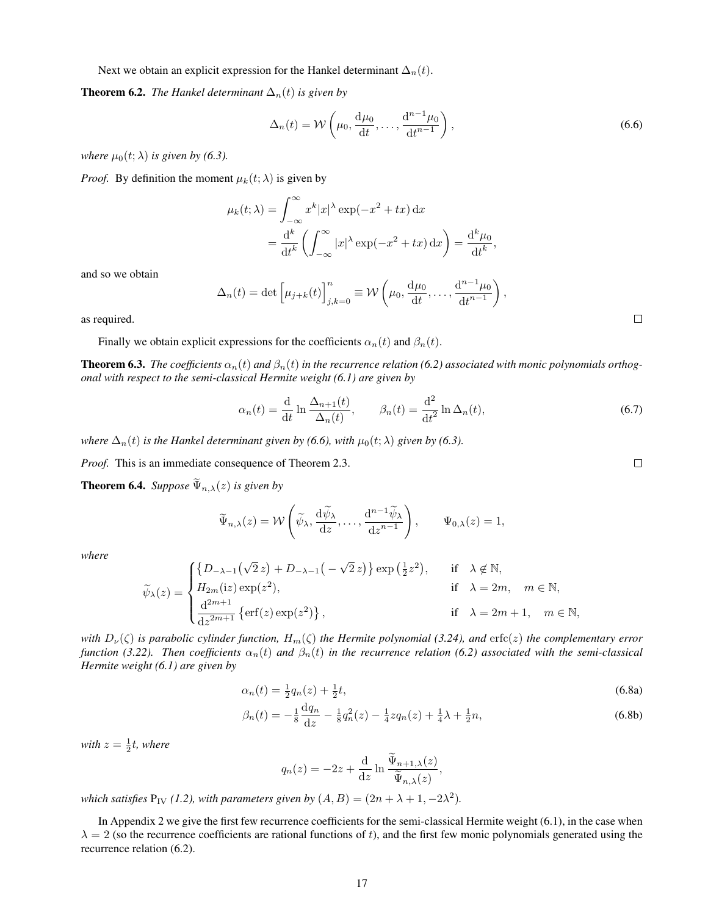Next we obtain an explicit expression for the Hankel determinant  $\Delta_n(t)$ .

#### **Theorem 6.2.** *The Hankel determinant*  $\Delta_n(t)$  *is given by*

$$
\Delta_n(t) = \mathcal{W}\left(\mu_0, \frac{\mathrm{d}\mu_0}{\mathrm{d}t}, \dots, \frac{\mathrm{d}^{n-1}\mu_0}{\mathrm{d}t^{n-1}}\right),\tag{6.6}
$$

*where*  $\mu_0(t; \lambda)$  *is given by (6.3).* 

*Proof.* By definition the moment  $\mu_k(t; \lambda)$  is given by

$$
\mu_k(t; \lambda) = \int_{-\infty}^{\infty} x^k |x|^\lambda \exp(-x^2 + tx) dx
$$

$$
= \frac{d^k}{dt^k} \left( \int_{-\infty}^{\infty} |x|^\lambda \exp(-x^2 + tx) dx \right) = \frac{d^k \mu_0}{dt^k},
$$

and so we obtain

$$
\Delta_n(t) = \det \left[ \mu_{j+k}(t) \right]_{j,k=0}^n \equiv \mathcal{W}\left( \mu_0, \frac{\mathrm{d}\mu_0}{\mathrm{d}t}, \dots, \frac{\mathrm{d}^{n-1}\mu_0}{\mathrm{d}t^{n-1}} \right),
$$

as required.

Finally we obtain explicit expressions for the coefficients  $\alpha_n(t)$  and  $\beta_n(t)$ .

**Theorem 6.3.** *The coefficients*  $\alpha_n(t)$  *and*  $\beta_n(t)$  *in the recurrence relation* (6.2) associated with monic polynomials orthog*onal with respect to the semi-classical Hermite weight (6.1) are given by*

$$
\alpha_n(t) = \frac{\mathrm{d}}{\mathrm{d}t} \ln \frac{\Delta_{n+1}(t)}{\Delta_n(t)}, \qquad \beta_n(t) = \frac{\mathrm{d}^2}{\mathrm{d}t^2} \ln \Delta_n(t), \tag{6.7}
$$

*where*  $\Delta_n(t)$  *is the Hankel determinant given by (6.6), with*  $\mu_0(t; \lambda)$  *given by (6.3).* 

*Proof.* This is an immediate consequence of Theorem 2.3.

**Theorem 6.4.** *Suppose*  $\widetilde{\Psi}_{n,\lambda}(z)$  *is given by* 

$$
\widetilde{\Psi}_{n,\lambda}(z) = \mathcal{W}\left(\widetilde{\psi}_{\lambda}, \frac{\mathrm{d}\widetilde{\psi}_{\lambda}}{\mathrm{d}z}, \dots, \frac{\mathrm{d}^{n-1}\widetilde{\psi}_{\lambda}}{\mathrm{d}z^{n-1}}\right), \qquad \Psi_{0,\lambda}(z) = 1,
$$

*where*

$$
\widetilde{\psi}_{\lambda}(z) = \begin{cases}\n\{D_{-\lambda-1}\left(\sqrt{2}z\right) + D_{-\lambda-1}\left(-\sqrt{2}z\right)\} \exp\left(\frac{1}{2}z^2\right), & \text{if } \lambda \notin \mathbb{N}, \\
H_{2m}(iz) \exp(z^2), & \text{if } \lambda = 2m, \quad m \in \mathbb{N}, \\
\frac{d^{2m+1}}{dz^{2m+1}} \left\{\text{erf}(z) \exp(z^2)\right\}, & \text{if } \lambda = 2m+1, \quad m \in \mathbb{N},\n\end{cases}
$$

*with*  $D_{\nu}(\zeta)$  *is parabolic cylinder function,*  $H_{m}(\zeta)$  *the Hermite polynomial (3.24), and* erfc(*z*) *the complementary error function (3.22). Then coefficients*  $\alpha_n(t)$  *and*  $\beta_n(t)$  *in the recurrence relation (6.2) associated with the semi-classical Hermite weight (6.1) are given by*

$$
\alpha_n(t) = \frac{1}{2}q_n(z) + \frac{1}{2}t,\tag{6.8a}
$$

$$
\beta_n(t) = -\frac{1}{8}\frac{dq_n}{dz} - \frac{1}{8}q_n^2(z) - \frac{1}{4}zq_n(z) + \frac{1}{4}\lambda + \frac{1}{2}n,\tag{6.8b}
$$

with  $z = \frac{1}{2}t$ , where

$$
q_n(z) = -2z + \frac{\mathrm{d}}{\mathrm{d}z} \ln \frac{\tilde{\Psi}_{n+1,\lambda}(z)}{\tilde{\Psi}_{n,\lambda}(z)},
$$

*which satisfies*  $P_{IV}$  (1.2), with parameters given by  $(A, B) = (2n + \lambda + 1, -2\lambda^2)$ .

In Appendix 2 we give the first few recurrence coefficients for the semi-classical Hermite weight (6.1), in the case when  $\lambda = 2$  (so the recurrence coefficients are rational functions of t), and the first few monic polynomials generated using the recurrence relation (6.2).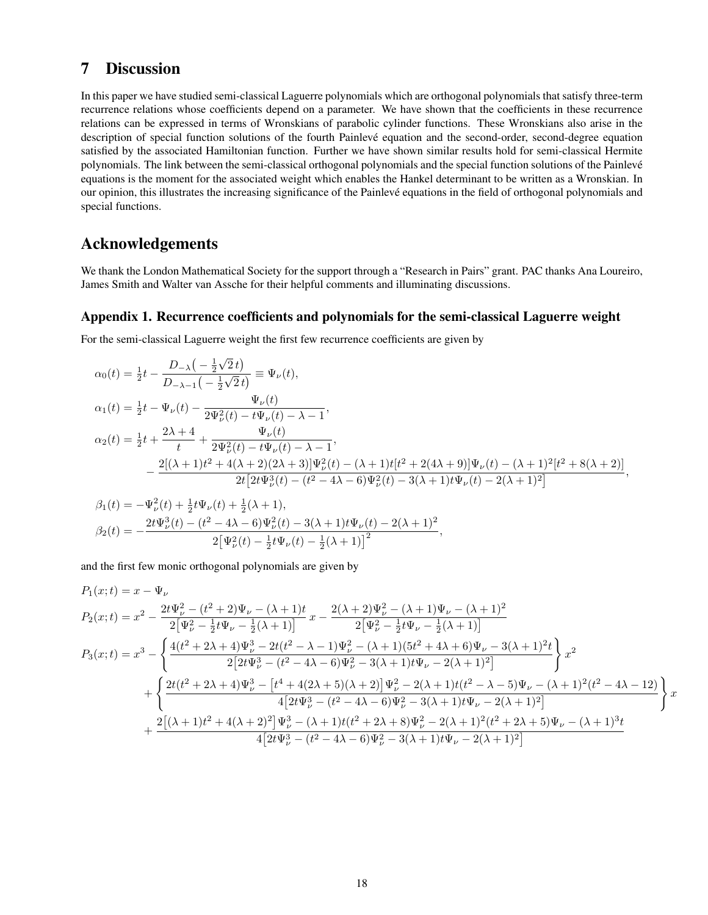## 7 Discussion

In this paper we have studied semi-classical Laguerre polynomials which are orthogonal polynomials that satisfy three-term recurrence relations whose coefficients depend on a parameter. We have shown that the coefficients in these recurrence relations can be expressed in terms of Wronskians of parabolic cylinder functions. These Wronskians also arise in the description of special function solutions of the fourth Painlevé equation and the second-order, second-degree equation satisfied by the associated Hamiltonian function. Further we have shown similar results hold for semi-classical Hermite polynomials. The link between the semi-classical orthogonal polynomials and the special function solutions of the Painlevé equations is the moment for the associated weight which enables the Hankel determinant to be written as a Wronskian. In our opinion, this illustrates the increasing significance of the Painleve equations in the field of orthogonal polynomials and ´ special functions.

# Acknowledgements

We thank the London Mathematical Society for the support through a "Research in Pairs" grant. PAC thanks Ana Loureiro, James Smith and Walter van Assche for their helpful comments and illuminating discussions.

#### Appendix 1. Recurrence coefficients and polynomials for the semi-classical Laguerre weight

For the semi-classical Laguerre weight the first few recurrence coefficients are given by

$$
\alpha_0(t) = \frac{1}{2}t - \frac{D_{-\lambda}\left(-\frac{1}{2}\sqrt{2}t\right)}{D_{-\lambda-1}\left(-\frac{1}{2}\sqrt{2}t\right)} \equiv \Psi_{\nu}(t),
$$
\n
$$
\alpha_1(t) = \frac{1}{2}t - \Psi_{\nu}(t) - \frac{\Psi_{\nu}(t)}{2\Psi_{\nu}^2(t) - t\Psi_{\nu}(t) - \lambda - 1},
$$
\n
$$
\alpha_2(t) = \frac{1}{2}t + \frac{2\lambda + 4}{t} + \frac{\Psi_{\nu}(t)}{2\Psi_{\nu}^2(t) - t\Psi_{\nu}(t) - \lambda - 1},
$$
\n
$$
-\frac{2[(\lambda + 1)t^2 + 4(\lambda + 2)(2\lambda + 3)]\Psi_{\nu}^2(t) - (\lambda + 1)t[t^2 + 2(4\lambda + 9)]\Psi_{\nu}(t) - (\lambda + 1)^2[t^2 + 8(\lambda + 2)]}{2t[2t\Psi_{\nu}^3(t) - (t^2 - 4\lambda - 6)\Psi_{\nu}^2(t) - 3(\lambda + 1)t\Psi_{\nu}(t) - 2(\lambda + 1)^2]},
$$
\n
$$
\beta_1(t) = -\Psi_{\nu}^2(t) + \frac{1}{2}t\Psi_{\nu}(t) + \frac{1}{2}(\lambda + 1),
$$

$$
\beta_1(t) = -\Psi_{\nu}^2(t) + \frac{1}{2}t\Psi_{\nu}(t) + \frac{1}{2}(\lambda + 1),
$$
  
\n
$$
\beta_2(t) = -\frac{2t\Psi_{\nu}^3(t) - (t^2 - 4\lambda - 6)\Psi_{\nu}^2(t) - 3(\lambda + 1)t\Psi_{\nu}(t) - 2(\lambda + 1)^2}{2[\Psi_{\nu}^2(t) - \frac{1}{2}t\Psi_{\nu}(t) - \frac{1}{2}(\lambda + 1)]^2},
$$

and the first few monic orthogonal polynomials are given by

$$
P_{1}(x;t) = x - \Psi_{\nu}
$$
  
\n
$$
P_{2}(x;t) = x^{2} - \frac{2t\Psi_{\nu}^{2} - (t^{2} + 2)\Psi_{\nu} - (\lambda + 1)t}{2[\Psi_{\nu}^{2} - \frac{1}{2}t\Psi_{\nu} - \frac{1}{2}(\lambda + 1)]}x - \frac{2(\lambda + 2)\Psi_{\nu}^{2} - (\lambda + 1)\Psi_{\nu} - (\lambda + 1)^{2}}{2[\Psi_{\nu}^{2} - \frac{1}{2}t\Psi_{\nu} - \frac{1}{2}(\lambda + 1)]}
$$
  
\n
$$
P_{3}(x;t) = x^{3} - \left\{\frac{4(t^{2} + 2\lambda + 4)\Psi_{\nu}^{3} - 2t(t^{2} - \lambda - 1)\Psi_{\nu}^{2} - (\lambda + 1)(5t^{2} + 4\lambda + 6)\Psi_{\nu} - 3(\lambda + 1)^{2}t}{2[2t\Psi_{\nu}^{3} - (t^{2} - 4\lambda - 6)\Psi_{\nu}^{2} - 3(\lambda + 1)t\Psi_{\nu} - 2(\lambda + 1)^{2}]}\right\}x^{2}
$$
  
\n
$$
+ \left\{\frac{2t(t^{2} + 2\lambda + 4)\Psi_{\nu}^{3} - [t^{4} + 4(2\lambda + 5)(\lambda + 2)]\Psi_{\nu}^{2} - 2(\lambda + 1)t(t^{2} - \lambda - 5)\Psi_{\nu} - (\lambda + 1)^{2}(t^{2} - 4\lambda - 12)}{4[2t\Psi_{\nu}^{3} - (t^{2} - 4\lambda - 6)\Psi_{\nu}^{2} - 3(\lambda + 1)t\Psi_{\nu} - 2(\lambda + 1)^{2}]}\right\}x + \frac{2[(\lambda + 1)t^{2} + 4(\lambda + 2)^{2}]\Psi_{\nu}^{3} - (\lambda + 1)t(t^{2} + 2\lambda + 8)\Psi_{\nu}^{2} - 2(\lambda + 1)^{2}(t^{2} + 2\lambda + 5)\Psi_{\nu} - (\lambda + 1)^{3}t}{4[2t\Psi_{\nu}^{3} - (t^{2} - 4\lambda - 6)\Psi_{\nu}^{2} - 3(\lambda + 1)t\P_{\nu} - 2(\lambda + 1)^{2}]}
$$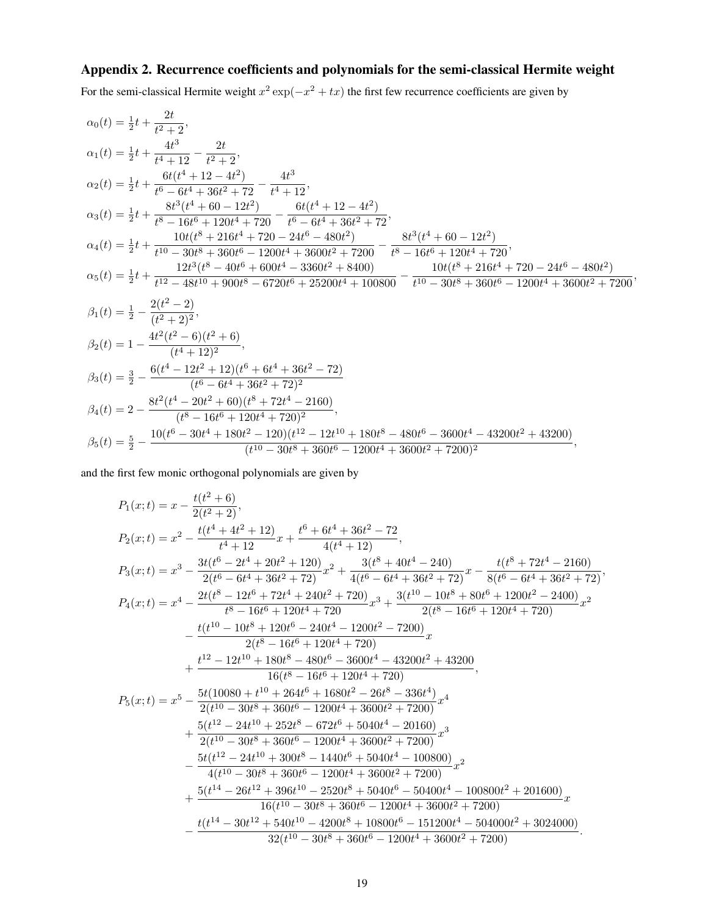# Appendix 2. Recurrence coefficients and polynomials for the semi-classical Hermite weight

For the semi-classical Hermite weight  $x^2 \exp(-x^2 + tx)$  the first few recurrence coefficients are given by

$$
\alpha_0(t) = \frac{1}{2}t + \frac{2t}{t^2+2},
$$
\n
$$
\alpha_1(t) = \frac{1}{2}t + \frac{4t^3}{t^4+12} - \frac{2t}{t^2+2},
$$
\n
$$
\alpha_2(t) = \frac{1}{2}t + \frac{6t(t^4+12-4t^2)}{t^6-6t^4+86t^2+72} - \frac{4t^3}{t^4+12},
$$
\n
$$
\alpha_3(t) = \frac{1}{2}t + \frac{8t^3(t^4+60-12t^2)}{t^8-16t^6+120t^4+720} - \frac{6t(t^4+12-4t^2)}{t^6-6t^4+36t^2+72},
$$
\n
$$
\alpha_4(t) = \frac{1}{2}t + \frac{10t(t^8+216t^4+720-24t^6-480t^2)}{t^{10}-30t^8+360t^6-1200t^4+3600t^2+7200} - \frac{8t^3(t^4+60-12t^2)}{t^8-16t^6+120t^4+720},
$$
\n
$$
\alpha_5(t) = \frac{1}{2}t + \frac{12t^3(t^8-40t^6+600t^4-3360t^2+8400)}{t^2-360t^4+100800} - \frac{10t(t^8+216t^4+720-24t^6-480t^2)}{t^{10}-30t^8+360t^6-1200t^4+3600t^2+7200},
$$
\n
$$
\beta_1(t) = \frac{1}{2} - \frac{2(t^2-2)}{(t^2+2)^2},
$$
\n
$$
\beta_2(t) = 1 - \frac{4t^2(t^2-6)(t^2+6)}{(t^4+12)^2},
$$
\n
$$
\beta_3(t) = \frac{3}{2} - \frac{6(t^4-12t^2+12)(t^6+6t^4+36t^2-72)}{(t^6-6t^4+36t^2+72)^2},
$$
\n
$$
\beta_4(t) = 2 - \frac{8t^2(t^
$$

and the first few monic orthogonal polynomials are given by

$$
\begin{aligned} P_1(x;t)&=x-\frac{t(t^2+6)}{2(t^2+2)},\\ P_2(x;t)&=x^2-\frac{t(t^4+4t^2+12)}{t^4+12}x+\frac{t^6+6t^4+36t^2-72}{4(t^4+12)},\\ P_3(x;t)&=x^3-\frac{3t(t^6-2t^4+20t^2+120)}{2(t^6-6t^4+36t^2+72)}x^2+\frac{3(t^8+40t^4-240)}{4(t^6-6t^4+36t^2+72)}x-\frac{t(t^8+72t^4-2160)}{8(t^6-6t^4+36t^2+72)},\\ P_4(x;t)&=x^4-\frac{2t(t^8-12t^6+72t^4+240t^2+720)}{t^8-16t^6+120t^4+720}x^3+\frac{3(t^{10}-10t^8+80t^6+1200t^2-2400)}{2(t^8-16t^6+120t^4+720)}x^2\\ &-\frac{t(t^{10}-10t^8+120t^6-240t^4-1200t^2-7200)}{2(t^8-16t^6+120t^4+720)}x\\ &+\frac{t^{12}-12t^{10}+180t^8-480t^6-3600t^4-43200t^2+43200}{16(t^8-16t^6+120t^4+720)},\\ P_5(x;t)&=x^5-\frac{5t(10080+t^{10}+264t^6+1680t^2-26t^8-336t^4)}{2(t^{10}-30t^8+360t^6-1200t^4+3600t^2+7200)}x^4\\ &+\frac{5(t^{12}-24t^{10}+252t^8-672t^6+5040t^4-20160)}{2(t^{10}-30t^8+360t^6-1200t^4+3600t^2+7200)}x^2\\ &-\frac{5t(t^{12}-24t^{10}+300t^8-140t^6+5040t^4-100800)}{4(t^{10}-30t^8+3
$$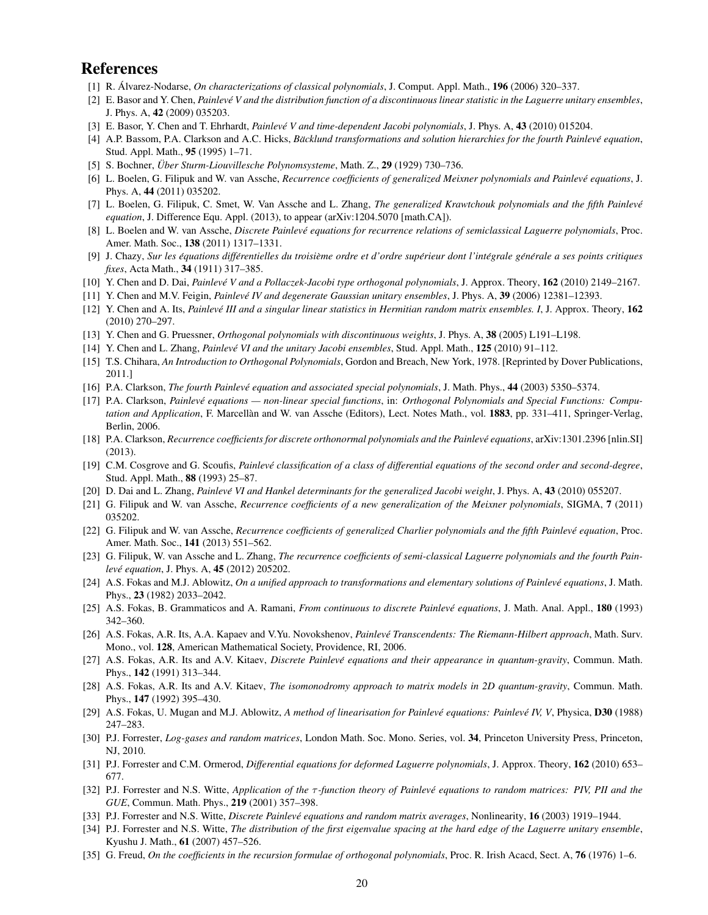## References

- [1] R. Álvarez-Nodarse, *On characterizations of classical polynomials*, J. Comput. Appl. Math., 196 (2006) 320–337.
- [2] E. Basor and Y. Chen, *Painleve V and the distribution function of a discontinuous linear statistic in the Laguerre unitary ensembles ´* , J. Phys. A, 42 (2009) 035203.
- [3] E. Basor, Y. Chen and T. Ehrhardt, *Painlevé V and time-dependent Jacobi polynomials*, J. Phys. A, 43 (2010) 015204.
- [4] A.P. Bassom, P.A. Clarkson and A.C. Hicks, *Bäcklund transformations and solution hierarchies for the fourth Painlevé equation*, Stud. Appl. Math., 95 (1995) 1–71.
- [5] S. Bochner, *Über Sturm-Liouvillesche Polynomsysteme*, Math. Z., 29 (1929) 730-736.
- [6] L. Boelen, G. Filipuk and W. van Assche, *Recurrence coefficients of generalized Meixner polynomials and Painleve equations ´* , J. Phys. A, 44 (2011) 035202.
- [7] L. Boelen, G. Filipuk, C. Smet, W. Van Assche and L. Zhang, *The generalized Krawtchouk polynomials and the fifth Painleve´ equation*, J. Difference Equ. Appl. (2013), to appear (arXiv:1204.5070 [math.CA]).
- [8] L. Boelen and W. van Assche, *Discrete Painleve equations for recurrence relations of semiclassical Laguerre polynomials ´* , Proc. Amer. Math. Soc., 138 (2011) 1317–1331.
- [9] J. Chazy, Sur les équations différentielles du troisième ordre et d'ordre supérieur dont l'intégrale générale a ses points critiques *fixes*, Acta Math., 34 (1911) 317–385.
- [10] Y. Chen and D. Dai, *Painleve V and a Pollaczek-Jacobi type orthogonal polynomials ´* , J. Approx. Theory, 162 (2010) 2149–2167.
- [11] Y. Chen and M.V. Feigin, *Painleve IV and degenerate Gaussian unitary ensembles ´* , J. Phys. A, 39 (2006) 12381–12393.
- [12] Y. Chen and A. Its, *Painlevé III and a singular linear statistics in Hermitian random matrix ensembles. I, J. Approx. Theory*, **162** (2010) 270–297.
- [13] Y. Chen and G. Pruessner, *Orthogonal polynomials with discontinuous weights*, J. Phys. A, 38 (2005) L191–L198.
- [14] Y. Chen and L. Zhang, *Painleve VI and the unitary Jacobi ensembles ´* , Stud. Appl. Math., 125 (2010) 91–112.
- [15] T.S. Chihara, *An Introduction to Orthogonal Polynomials*, Gordon and Breach, New York, 1978. [Reprinted by Dover Publications, 2011.]
- [16] P.A. Clarkson, *The fourth Painleve equation and associated special polynomials ´* , J. Math. Phys., 44 (2003) 5350–5374.
- [17] P.A. Clarkson, *Painlevé equations non-linear special functions*, in: *Orthogonal Polynomials and Special Functions: Computation and Application*, F. Marcellàn and W. van Assche (Editors), Lect. Notes Math., vol. 1883, pp. 331–411, Springer-Verlag, Berlin, 2006.
- [18] P.A. Clarkson, *Recurrence coefficients for discrete orthonormal polynomials and the Painleve equations ´* , arXiv:1301.2396 [nlin.SI] (2013).
- [19] C.M. Cosgrove and G. Scoufis, *Painlevé classification of a class of differential equations of the second order and second-degree*, Stud. Appl. Math., 88 (1993) 25–87.
- [20] D. Dai and L. Zhang, *Painleve VI and Hankel determinants for the generalized Jacobi weight ´* , J. Phys. A, 43 (2010) 055207.
- [21] G. Filipuk and W. van Assche, *Recurrence coefficients of a new generalization of the Meixner polynomials*, SIGMA, 7 (2011) 035202.
- [22] G. Filipuk and W. van Assche, *Recurrence coefficients of generalized Charlier polynomials and the fifth Painleve equation ´* , Proc. Amer. Math. Soc., 141 (2013) 551–562.
- [23] G. Filipuk, W. van Assche and L. Zhang, *The recurrence coefficients of semi-classical Laguerre polynomials and the fourth Painlevé equation*, *J. Phys. A, 45 (2012) 205202.*
- [24] A.S. Fokas and M.J. Ablowitz, *On a unified approach to transformations and elementary solutions of Painleve equations ´* , J. Math. Phys., 23 (1982) 2033–2042.
- [25] A.S. Fokas, B. Grammaticos and A. Ramani, *From continuous to discrete Painleve equations ´* , J. Math. Anal. Appl., 180 (1993) 342–360.
- [26] A.S. Fokas, A.R. Its, A.A. Kapaev and V.Yu. Novokshenov, *Painleve Transcendents: The Riemann-Hilbert approach ´* , Math. Surv. Mono., vol. 128, American Mathematical Society, Providence, RI, 2006.
- [27] A.S. Fokas, A.R. Its and A.V. Kitaev, *Discrete Painleve equations and their appearance in quantum-gravity ´* , Commun. Math. Phys., 142 (1991) 313–344.
- [28] A.S. Fokas, A.R. Its and A.V. Kitaev, *The isomonodromy approach to matrix models in 2D quantum-gravity*, Commun. Math. Phys., 147 (1992) 395–430.
- [29] A.S. Fokas, U. Mugan and M.J. Ablowitz, *A method of linearisation for Painlevé equations: Painlevé IV, V*, Physica, D30 (1988) 247–283.
- [30] P.J. Forrester, *Log-gases and random matrices*, London Math. Soc. Mono. Series, vol. 34, Princeton University Press, Princeton, NJ, 2010.
- [31] P.J. Forrester and C.M. Ormerod, *Differential equations for deformed Laguerre polynomials*, J. Approx. Theory, 162 (2010) 653– 677.
- [32] P.J. Forrester and N.S. Witte, *Application of the* τ *-function theory of Painleve equations to random matrices: PIV, PII and the ´ GUE*, Commun. Math. Phys., 219 (2001) 357–398.
- [33] P.J. Forrester and N.S. Witte, *Discrete Painlevé equations and random matrix averages*, *Nonlinearity*, **16** (2003) 1919–1944.
- [34] P.J. Forrester and N.S. Witte, *The distribution of the first eigenvalue spacing at the hard edge of the Laguerre unitary ensemble*, Kyushu J. Math., 61 (2007) 457–526.
- [35] G. Freud, *On the coefficients in the recursion formulae of orthogonal polynomials*, Proc. R. Irish Acacd, Sect. A, **76** (1976) 1–6.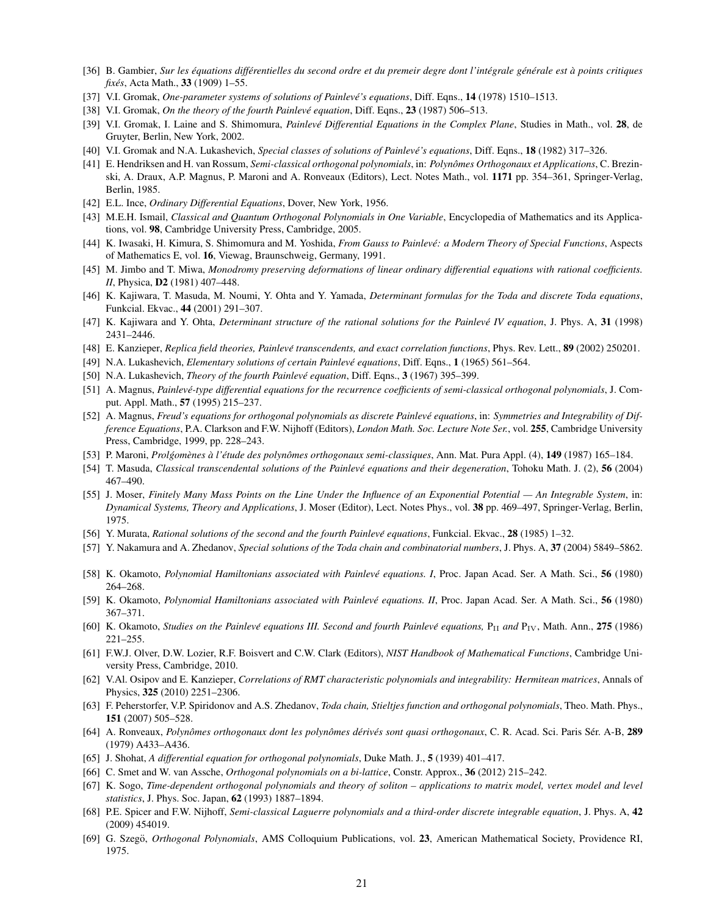- [36] B. Gambier, Sur les équations différentielles du second ordre et du premeir degre dont l'intégrale générale est à points critiques *fixés*, Acta Math., 33 (1909) 1-55.
- [37] V.I. Gromak, *One-parameter systems of solutions of Painlevé's equations*, Diff. Eqns., 14 (1978) 1510–1513.
- [38] V.I. Gromak, *On the theory of the fourth Painlevé equation*, Diff. Eqns., 23 (1987) 506–513.
- [39] V.I. Gromak, I. Laine and S. Shimomura, *Painlevé Differential Equations in the Complex Plane*, Studies in Math., vol. 28, de Gruyter, Berlin, New York, 2002.
- [40] V.I. Gromak and N.A. Lukashevich, *Special classes of solutions of Painlevé's equations*, Diff. Eqns., **18** (1982) 317-326.
- [41] E. Hendriksen and H. van Rossum, *Semi-classical orthogonal polynomials*, in: *Polynomes Orthogonaux et Applications ˆ* , C. Brezinski, A. Draux, A.P. Magnus, P. Maroni and A. Ronveaux (Editors), Lect. Notes Math., vol. 1171 pp. 354–361, Springer-Verlag, Berlin, 1985.
- [42] E.L. Ince, *Ordinary Differential Equations*, Dover, New York, 1956.
- [43] M.E.H. Ismail, *Classical and Quantum Orthogonal Polynomials in One Variable*, Encyclopedia of Mathematics and its Applications, vol. 98, Cambridge University Press, Cambridge, 2005.
- [44] K. Iwasaki, H. Kimura, S. Shimomura and M. Yoshida, *From Gauss to Painleve: a Modern Theory of Special Functions ´* , Aspects of Mathematics E, vol. 16, Viewag, Braunschweig, Germany, 1991.
- [45] M. Jimbo and T. Miwa, *Monodromy preserving deformations of linear ordinary differential equations with rational coefficients. II*, Physica, D2 (1981) 407–448.
- [46] K. Kajiwara, T. Masuda, M. Noumi, Y. Ohta and Y. Yamada, *Determinant formulas for the Toda and discrete Toda equations*, Funkcial. Ekvac., 44 (2001) 291–307.
- [47] K. Kajiwara and Y. Ohta, *Determinant structure of the rational solutions for the Painlevé IV equation*, J. Phys. A, 31 (1998) 2431–2446.
- [48] E. Kanzieper, *Replica field theories, Painlevé transcendents, and exact correlation functions*, Phys. Rev. Lett., 89 (2002) 250201.
- [49] N.A. Lukashevich, *Elementary solutions of certain Painlevé equations*, Diff. Eqns., 1 (1965) 561-564.
- [50] N.A. Lukashevich, *Theory of the fourth Painlevé equation*, Diff. Eqns., 3 (1967) 395–399.
- [51] A. Magnus, *Painleve-type differential equations for the recurrence coefficients of semi-classical orthogonal polynomials ´* , J. Comput. Appl. Math., 57 (1995) 215–237.
- [52] A. Magnus, *Freud's equations for orthogonal polynomials as discrete Painleve equations ´* , in: *Symmetries and Integrability of Difference Equations*, P.A. Clarkson and F.W. Nijhoff (Editors), *London Math. Soc. Lecture Note Ser.*, vol. 255, Cambridge University Press, Cambridge, 1999, pp. 228–243.
- [53] P. Maroni, *Prolgom ´ enes ` a l' ` etude des polyn ´ omes orthogonaux semi-classiques ˆ* , Ann. Mat. Pura Appl. (4), 149 (1987) 165–184.
- [54] T. Masuda, *Classical transcendental solutions of the Painlevé equations and their degeneration*, Tohoku Math. J. (2), 56 (2004) 467–490.
- [55] J. Moser, *Finitely Many Mass Points on the Line Under the Influence of an Exponential Potential An Integrable System*, in: *Dynamical Systems, Theory and Applications*, J. Moser (Editor), Lect. Notes Phys., vol. 38 pp. 469–497, Springer-Verlag, Berlin, 1975.
- [56] Y. Murata, *Rational solutions of the second and the fourth Painlevé equations*, Funkcial. Ekvac., 28 (1985) 1–32.
- [57] Y. Nakamura and A. Zhedanov, *Special solutions of the Toda chain and combinatorial numbers*, J. Phys. A, 37 (2004) 5849–5862.
- [58] K. Okamoto, *Polynomial Hamiltonians associated with Painleve equations. I ´* , Proc. Japan Acad. Ser. A Math. Sci., 56 (1980) 264–268.
- [59] K. Okamoto, *Polynomial Hamiltonians associated with Painleve equations. II ´* , Proc. Japan Acad. Ser. A Math. Sci., 56 (1980) 367–371.
- [60] K. Okamoto, *Studies on the Painleve equations III. Second and fourth Painlev ´ e equations, ´* PII *and* PIV, Math. Ann., 275 (1986) 221–255.
- [61] F.W.J. Olver, D.W. Lozier, R.F. Boisvert and C.W. Clark (Editors), *NIST Handbook of Mathematical Functions*, Cambridge University Press, Cambridge, 2010.
- [62] V.Al. Osipov and E. Kanzieper, *Correlations of RMT characteristic polynomials and integrability: Hermitean matrices*, Annals of Physics, 325 (2010) 2251–2306.
- [63] F. Peherstorfer, V.P. Spiridonov and A.S. Zhedanov, *Toda chain, Stieltjes function and orthogonal polynomials*, Theo. Math. Phys., 151 (2007) 505–528.
- [64] A. Ronveaux, *Polynomes orthogonaux dont les polyn ˆ omes d ˆ eriv ´ es sont quasi orthogonaux ´* , C. R. Acad. Sci. Paris Ser. A-B, ´ 289 (1979) A433–A436.
- [65] J. Shohat, *A differential equation for orthogonal polynomials*, Duke Math. J., 5 (1939) 401–417.
- [66] C. Smet and W. van Assche, *Orthogonal polynomials on a bi-lattice*, Constr. Approx., 36 (2012) 215–242.
- [67] K. Sogo, *Time-dependent orthogonal polynomials and theory of soliton applications to matrix model, vertex model and level statistics*, J. Phys. Soc. Japan, 62 (1993) 1887–1894.
- [68] P.E. Spicer and F.W. Nijhoff, *Semi-classical Laguerre polynomials and a third-order discrete integrable equation*, J. Phys. A, 42 (2009) 454019.
- [69] G. Szegö, *Orthogonal Polynomials*, AMS Colloquium Publications, vol. 23, American Mathematical Society, Providence RI, 1975.